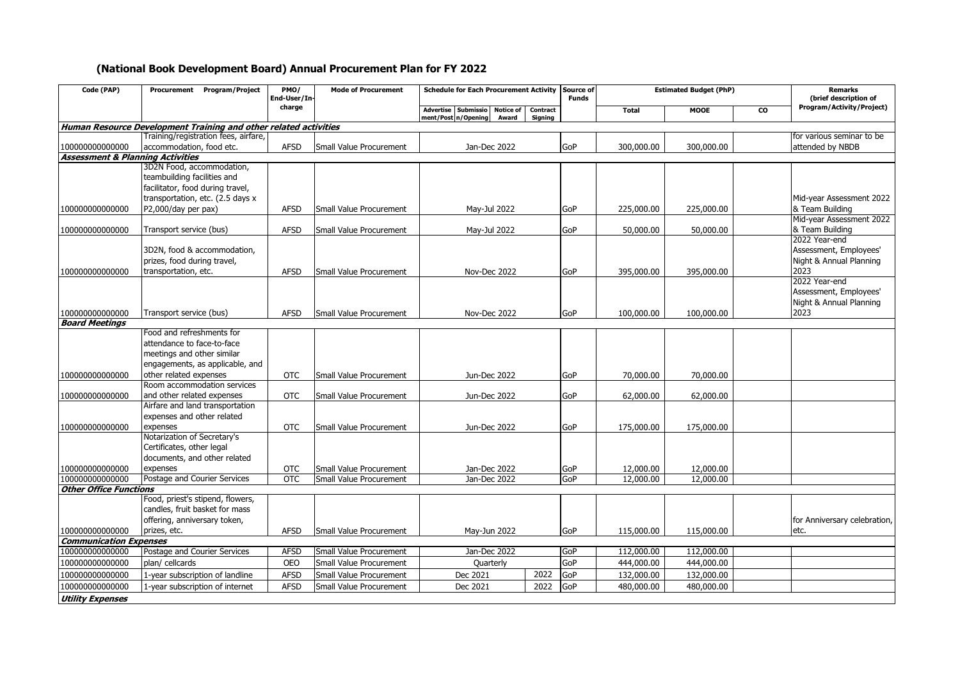## **(National Book Development Board) Annual Procurement Plan for FY 2022**

| Code (PAP)                                  | Procurement Program/Project<br>PMO/<br><b>Mode of Procurement</b><br>Schedule for Each Procurement Activity Source of<br>End-User/In- |             |                         | <b>Funds</b>                                                               | <b>Estimated Budget (PhP)</b> | <b>Remarks</b><br>(brief description of |              |             |           |                              |
|---------------------------------------------|---------------------------------------------------------------------------------------------------------------------------------------|-------------|-------------------------|----------------------------------------------------------------------------|-------------------------------|-----------------------------------------|--------------|-------------|-----------|------------------------------|
|                                             |                                                                                                                                       | charge      |                         | Submissio<br><b>Notice of</b><br>Advertise<br>ment/Post n/Opening<br>Award | Contract<br>Signing           |                                         | <b>Total</b> | <b>MOOE</b> | <b>CO</b> | Program/Activity/Project)    |
|                                             | Human Resource Development Training and other related activities                                                                      |             |                         |                                                                            |                               |                                         |              |             |           |                              |
|                                             | Training/registration fees, airfare,                                                                                                  |             |                         |                                                                            |                               |                                         |              |             |           | for various seminar to be    |
| 100000000000000                             | accommodation, food etc.                                                                                                              | <b>AFSD</b> | Small Value Procurement | Jan-Dec 2022                                                               |                               | GoP                                     | 300,000.00   | 300,000.00  |           | attended by NBDB             |
| <b>Assessment &amp; Planning Activities</b> |                                                                                                                                       |             |                         |                                                                            |                               |                                         |              |             |           |                              |
|                                             | 3D2N Food, accommodation,                                                                                                             |             |                         |                                                                            |                               |                                         |              |             |           |                              |
|                                             | teambuilding facilities and                                                                                                           |             |                         |                                                                            |                               |                                         |              |             |           |                              |
|                                             | facilitator, food during travel,                                                                                                      |             |                         |                                                                            |                               |                                         |              |             |           |                              |
|                                             | transportation, etc. (2.5 days x                                                                                                      |             |                         |                                                                            |                               |                                         |              |             |           | Mid-year Assessment 2022     |
| 100000000000000                             | P2,000/day per pax)                                                                                                                   | <b>AFSD</b> | Small Value Procurement | May-Jul 2022                                                               |                               | GoP                                     | 225,000.00   | 225,000.00  |           | & Team Building              |
|                                             |                                                                                                                                       |             |                         |                                                                            |                               |                                         |              |             |           | Mid-year Assessment 2022     |
| 100000000000000                             | Transport service (bus)                                                                                                               | <b>AFSD</b> | Small Value Procurement | May-Jul 2022                                                               |                               | GoP                                     | 50,000.00    | 50,000.00   |           | & Team Building              |
|                                             |                                                                                                                                       |             |                         |                                                                            |                               |                                         |              |             |           | 2022 Year-end                |
|                                             | 3D2N, food & accommodation,                                                                                                           |             |                         |                                                                            |                               |                                         |              |             |           | Assessment, Employees'       |
|                                             | prizes, food during travel,                                                                                                           |             |                         |                                                                            |                               |                                         |              |             |           | Night & Annual Planning      |
| 100000000000000                             | transportation, etc.                                                                                                                  | <b>AFSD</b> | Small Value Procurement | Nov-Dec 2022                                                               |                               | GoP                                     | 395,000.00   | 395,000.00  |           | 2023                         |
|                                             |                                                                                                                                       |             |                         |                                                                            |                               |                                         |              |             |           | 2022 Year-end                |
|                                             |                                                                                                                                       |             |                         |                                                                            |                               |                                         |              |             |           | Assessment, Employees'       |
|                                             |                                                                                                                                       |             |                         |                                                                            |                               |                                         |              |             |           | Night & Annual Planning      |
| 10000000000000                              | Transport service (bus)                                                                                                               | <b>AFSD</b> | Small Value Procurement | Nov-Dec 2022                                                               |                               | GoP                                     | 100,000.00   | 100,000.00  |           | 2023                         |
| <b>Board Meetings</b>                       | Food and refreshments for                                                                                                             |             |                         |                                                                            |                               |                                         |              |             |           |                              |
|                                             | attendance to face-to-face                                                                                                            |             |                         |                                                                            |                               |                                         |              |             |           |                              |
|                                             | meetings and other similar                                                                                                            |             |                         |                                                                            |                               |                                         |              |             |           |                              |
|                                             | engagements, as applicable, and                                                                                                       |             |                         |                                                                            |                               |                                         |              |             |           |                              |
| 100000000000000                             | other related expenses                                                                                                                | <b>OTC</b>  | Small Value Procurement | Jun-Dec 2022                                                               |                               | GoP                                     | 70,000.00    | 70,000.00   |           |                              |
|                                             | Room accommodation services                                                                                                           |             |                         |                                                                            |                               |                                         |              |             |           |                              |
| 100000000000000                             | and other related expenses                                                                                                            | <b>OTC</b>  | Small Value Procurement | Jun-Dec 2022                                                               |                               | GoP                                     | 62,000.00    | 62,000.00   |           |                              |
|                                             | Airfare and land transportation                                                                                                       |             |                         |                                                                            |                               |                                         |              |             |           |                              |
|                                             | expenses and other related                                                                                                            |             |                         |                                                                            |                               |                                         |              |             |           |                              |
| 100000000000000                             | expenses                                                                                                                              | <b>OTC</b>  | Small Value Procurement | Jun-Dec 2022                                                               |                               | GoP                                     | 175,000.00   | 175,000.00  |           |                              |
|                                             | Notarization of Secretary's                                                                                                           |             |                         |                                                                            |                               |                                         |              |             |           |                              |
|                                             | Certificates, other legal                                                                                                             |             |                         |                                                                            |                               |                                         |              |             |           |                              |
|                                             | documents, and other related                                                                                                          |             |                         |                                                                            |                               |                                         |              |             |           |                              |
| 100000000000000                             | expenses                                                                                                                              | <b>OTC</b>  | Small Value Procurement | Jan-Dec 2022                                                               |                               | <b>GoP</b>                              | 12,000.00    | 12,000.00   |           |                              |
| 100000000000000                             | Postage and Courier Services                                                                                                          | <b>OTC</b>  | Small Value Procurement | Jan-Dec 2022                                                               |                               | GoP                                     | 12,000.00    | 12,000.00   |           |                              |
| <b>Other Office Functions</b>               |                                                                                                                                       |             |                         |                                                                            |                               |                                         |              |             |           |                              |
|                                             | Food, priest's stipend, flowers,                                                                                                      |             |                         |                                                                            |                               |                                         |              |             |           |                              |
|                                             | candles, fruit basket for mass                                                                                                        |             |                         |                                                                            |                               |                                         |              |             |           |                              |
|                                             | offering, anniversary token,                                                                                                          |             |                         |                                                                            |                               |                                         |              |             |           | for Anniversary celebration, |
| 100000000000000                             | prizes, etc.                                                                                                                          | <b>AFSD</b> | Small Value Procurement | May-Jun 2022                                                               |                               | GoP                                     | 115,000.00   | 115,000.00  |           | etc.                         |
| <b>Communication Expenses</b>               |                                                                                                                                       |             |                         |                                                                            |                               |                                         |              |             |           |                              |
| 100000000000000                             | Postage and Courier Services                                                                                                          | <b>AFSD</b> | Small Value Procurement | Jan-Dec 2022                                                               |                               | GoP                                     | 112,000.00   | 112,000.00  |           |                              |
| 100000000000000                             | plan/ cellcards                                                                                                                       | <b>OEO</b>  | Small Value Procurement | Quarterly                                                                  |                               | GoP                                     | 444,000.00   | 444,000.00  |           |                              |
| 100000000000000                             | 1-year subscription of landline                                                                                                       | <b>AFSD</b> | Small Value Procurement | Dec 2021                                                                   | 2022                          | GoP                                     | 132,000.00   | 132,000.00  |           |                              |
| 10000000000000                              | 1-year subscription of internet                                                                                                       | <b>AFSD</b> | Small Value Procurement | Dec 2021                                                                   | 2022                          | GoP                                     | 480,000.00   | 480,000.00  |           |                              |
|                                             |                                                                                                                                       |             |                         |                                                                            |                               |                                         |              |             |           |                              |
| <b>Utility Expenses</b>                     |                                                                                                                                       |             |                         |                                                                            |                               |                                         |              |             |           |                              |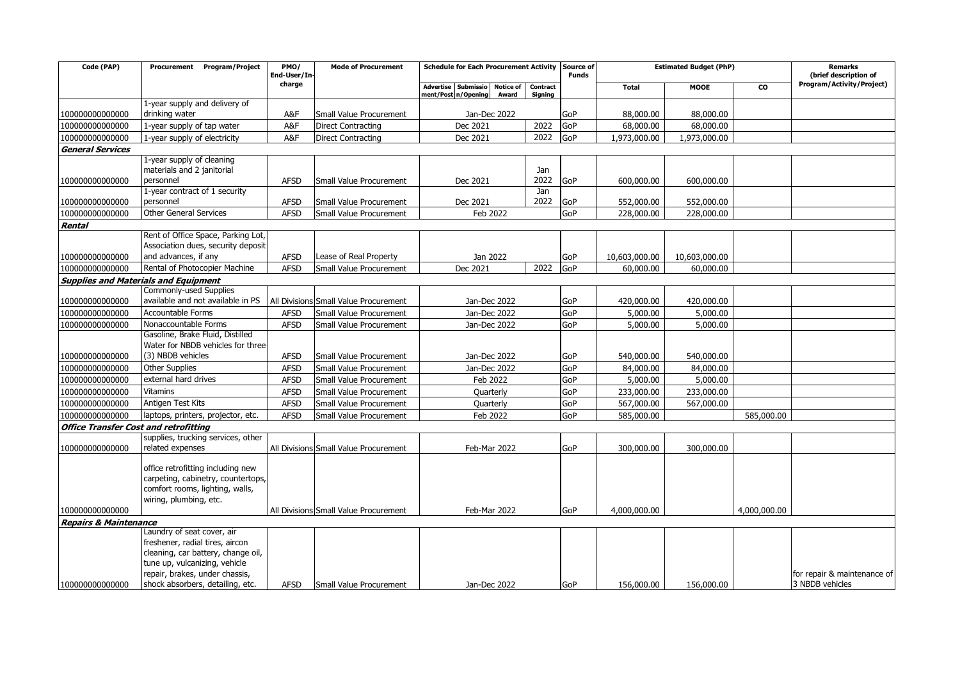| Code (PAP)                                   | Procurement Program/Project                               | PMO/<br>End-User/In- | <b>Mode of Procurement</b>            | Schedule for Each Procurement Activity Source of                           |                     | <b>Estimated Budget (PhP)</b><br><b>Funds</b> |               |               | <b>Remarks</b><br>(brief description of |                             |
|----------------------------------------------|-----------------------------------------------------------|----------------------|---------------------------------------|----------------------------------------------------------------------------|---------------------|-----------------------------------------------|---------------|---------------|-----------------------------------------|-----------------------------|
|                                              |                                                           | charge               |                                       | <b>Advertise</b><br>Submissio<br>Notice of<br>ment/Post n/Opening<br>Award | Contract<br>Signing |                                               | <b>Total</b>  | <b>MOOE</b>   | <b>CO</b>                               | Program/Activity/Project)   |
|                                              | 1-year supply and delivery of                             |                      |                                       |                                                                            |                     |                                               |               |               |                                         |                             |
| 100000000000000                              | drinking water                                            | A&F                  | Small Value Procurement               | Jan-Dec 2022                                                               |                     | GoP                                           | 88,000.00     | 88,000.00     |                                         |                             |
| 100000000000000                              | 1-year supply of tap water                                | A&F                  | <b>Direct Contracting</b>             | Dec 2021                                                                   | 2022                | <b>GoP</b>                                    | 68,000.00     | 68,000.00     |                                         |                             |
| 100000000000000                              | 1-year supply of electricity                              | A&F                  | <b>Direct Contracting</b>             | Dec 2021                                                                   | 2022                | <b>GoP</b>                                    | 1,973,000.00  | 1,973,000.00  |                                         |                             |
| <b>General Services</b>                      |                                                           |                      |                                       |                                                                            |                     |                                               |               |               |                                         |                             |
|                                              | 1-year supply of cleaning                                 |                      |                                       |                                                                            |                     |                                               |               |               |                                         |                             |
|                                              | materials and 2 janitorial<br>personnel                   | <b>AFSD</b>          |                                       |                                                                            | Jan<br>2022         |                                               |               |               |                                         |                             |
| 100000000000000                              | 1-year contract of 1 security                             |                      | Small Value Procurement               | Dec 2021                                                                   | Jan                 | GoP                                           | 600,000.00    | 600,000.00    |                                         |                             |
| 100000000000000                              | personnel                                                 | <b>AFSD</b>          | Small Value Procurement               | Dec 2021                                                                   | 2022                | <b>GoP</b>                                    | 552,000.00    | 552,000.00    |                                         |                             |
| 100000000000000                              | <b>Other General Services</b>                             | <b>AFSD</b>          | Small Value Procurement               | Feb 2022                                                                   |                     | GoP                                           | 228,000.00    | 228,000.00    |                                         |                             |
| Rental                                       |                                                           |                      |                                       |                                                                            |                     |                                               |               |               |                                         |                             |
|                                              | Rent of Office Space, Parking Lot,                        |                      |                                       |                                                                            |                     |                                               |               |               |                                         |                             |
|                                              | Association dues, security deposit                        |                      |                                       |                                                                            |                     |                                               |               |               |                                         |                             |
| 100000000000000                              | and advances, if any                                      | <b>AFSD</b>          | Lease of Real Property                | Jan 2022                                                                   |                     | GoP                                           | 10,603,000.00 | 10,603,000.00 |                                         |                             |
| 100000000000000                              | Rental of Photocopier Machine                             | <b>AFSD</b>          | Small Value Procurement               | Dec 2021                                                                   | 2022                | GoP                                           | 60,000.00     | 60,000.00     |                                         |                             |
|                                              | <b>Supplies and Materials and Equipment</b>               |                      |                                       |                                                                            |                     |                                               |               |               |                                         |                             |
|                                              | <b>Commonly-used Supplies</b>                             |                      |                                       |                                                                            |                     |                                               |               |               |                                         |                             |
| 10000000000000                               | available and not available in PS                         |                      | All Divisions Small Value Procurement | Jan-Dec 2022                                                               |                     | GoP                                           | 420,000.00    | 420,000.00    |                                         |                             |
| 100000000000000                              | <b>Accountable Forms</b>                                  | <b>AFSD</b>          | Small Value Procurement               | Jan-Dec 2022                                                               |                     | GoP                                           | 5,000.00      | 5,000.00      |                                         |                             |
| 100000000000000                              | Nonaccountable Forms                                      | <b>AFSD</b>          | Small Value Procurement               | Jan-Dec 2022                                                               |                     | GoP                                           | 5,000.00      | 5,000.00      |                                         |                             |
|                                              | Gasoline, Brake Fluid, Distilled                          |                      |                                       |                                                                            |                     |                                               |               |               |                                         |                             |
|                                              | Water for NBDB vehicles for three                         |                      |                                       |                                                                            |                     |                                               |               |               |                                         |                             |
| 100000000000000                              | (3) NBDB vehicles                                         | <b>AFSD</b>          | Small Value Procurement               | Jan-Dec 2022                                                               |                     | GoP                                           | 540,000.00    | 540,000.00    |                                         |                             |
| 100000000000000                              | <b>Other Supplies</b>                                     | <b>AFSD</b>          | Small Value Procurement               | Jan-Dec 2022                                                               |                     | GoP                                           | 84,000.00     | 84,000.00     |                                         |                             |
| 100000000000000                              | external hard drives                                      | <b>AFSD</b>          | Small Value Procurement               | Feb 2022                                                                   |                     | GoP                                           | 5,000.00      | 5,000.00      |                                         |                             |
| 100000000000000                              | <b>Vitamins</b>                                           | <b>AFSD</b>          | <b>Small Value Procurement</b>        | Quarterly                                                                  |                     | GoP                                           | 233,000.00    | 233,000.00    |                                         |                             |
| 100000000000000                              | Antigen Test Kits                                         | <b>AFSD</b>          | Small Value Procurement               | Quarterly                                                                  |                     | GoP                                           | 567,000.00    | 567,000.00    |                                         |                             |
| 100000000000000                              | laptops, printers, projector, etc.                        | <b>AFSD</b>          | Small Value Procurement               | Feb 2022                                                                   |                     | GoP                                           | 585,000.00    |               | 585,000.00                              |                             |
| <b>Office Transfer Cost and retrofitting</b> |                                                           |                      |                                       |                                                                            |                     |                                               |               |               |                                         |                             |
|                                              | supplies, trucking services, other                        |                      |                                       |                                                                            |                     |                                               |               |               |                                         |                             |
| 100000000000000                              | related expenses                                          |                      | All Divisions Small Value Procurement | Feb-Mar 2022                                                               |                     | GoP                                           | 300,000.00    | 300,000.00    |                                         |                             |
|                                              |                                                           |                      |                                       |                                                                            |                     |                                               |               |               |                                         |                             |
|                                              | office retrofitting including new                         |                      |                                       |                                                                            |                     |                                               |               |               |                                         |                             |
|                                              | carpeting, cabinetry, countertops,                        |                      |                                       |                                                                            |                     |                                               |               |               |                                         |                             |
|                                              | comfort rooms, lighting, walls,<br>wiring, plumbing, etc. |                      |                                       |                                                                            |                     |                                               |               |               |                                         |                             |
| 10000000000000                               |                                                           |                      | All Divisions Small Value Procurement | Feb-Mar 2022                                                               |                     | GoP                                           | 4,000,000,00  |               | 4,000,000,00                            |                             |
| <b>Repairs &amp; Maintenance</b>             |                                                           |                      |                                       |                                                                            |                     |                                               |               |               |                                         |                             |
|                                              | Laundry of seat cover, air                                |                      |                                       |                                                                            |                     |                                               |               |               |                                         |                             |
|                                              | freshener, radial tires, aircon                           |                      |                                       |                                                                            |                     |                                               |               |               |                                         |                             |
|                                              | cleaning, car battery, change oil,                        |                      |                                       |                                                                            |                     |                                               |               |               |                                         |                             |
|                                              | tune up, vulcanizing, vehicle                             |                      |                                       |                                                                            |                     |                                               |               |               |                                         |                             |
|                                              | repair, brakes, under chassis,                            |                      |                                       |                                                                            |                     |                                               |               |               |                                         | for repair & maintenance of |
| 100000000000000                              | shock absorbers, detailing, etc.                          | <b>AFSD</b>          | <b>Small Value Procurement</b>        | Jan-Dec 2022                                                               |                     | GoP                                           | 156,000.00    | 156,000.00    |                                         | 3 NBDB vehicles             |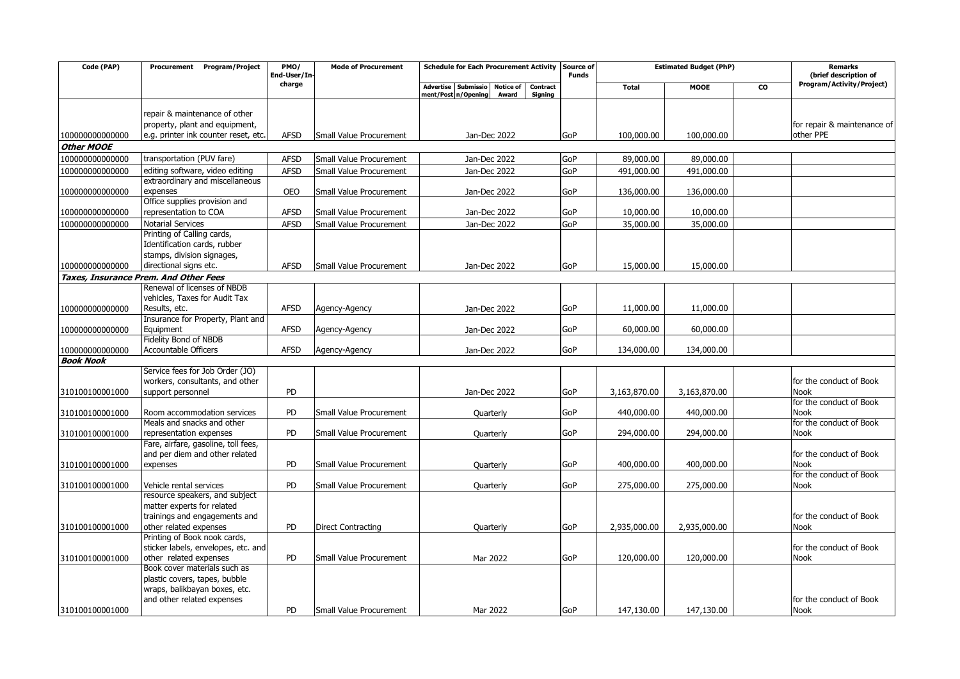| Code (PAP)                          | <b>Program/Project</b><br>Procurement                         | PMO/<br>End-User/In- | <b>Mode of Procurement</b>     | <b>Schedule for Each Procurement Activity</b>                                           | Source of<br><b>Funds</b> | <b>Estimated Budget (PhP)</b> |              | <b>Remarks</b><br>(brief description of |                                        |
|-------------------------------------|---------------------------------------------------------------|----------------------|--------------------------------|-----------------------------------------------------------------------------------------|---------------------------|-------------------------------|--------------|-----------------------------------------|----------------------------------------|
|                                     |                                                               | charge               |                                | Advertise Submissio<br>Notice of<br>Contract<br>ment/Post n/Opening<br>Award<br>Signing |                           | <b>Total</b>                  | <b>MOOE</b>  | CO                                      | Program/Activity/Project)              |
|                                     |                                                               |                      |                                |                                                                                         |                           |                               |              |                                         |                                        |
|                                     | repair & maintenance of other                                 |                      |                                |                                                                                         |                           |                               |              |                                         |                                        |
|                                     | property, plant and equipment,                                |                      |                                |                                                                                         |                           |                               |              |                                         | for repair & maintenance of            |
| 10000000000000                      | e.g. printer ink counter reset, etc.                          | <b>AFSD</b>          | Small Value Procurement        | Jan-Dec 2022                                                                            | GoP                       | 100,000.00                    | 100,000.00   |                                         | other PPE                              |
| <b>Other MOOE</b>                   |                                                               |                      |                                |                                                                                         |                           |                               |              |                                         |                                        |
| 10000000000000                      | transportation (PUV fare)                                     | <b>AFSD</b>          | Small Value Procurement        | Jan-Dec 2022                                                                            | GoP                       | 89,000.00                     | 89,000.00    |                                         |                                        |
| 10000000000000                      | editing software, video editing                               | <b>AFSD</b>          | <b>Small Value Procurement</b> | Jan-Dec 2022                                                                            | GoP                       | 491,000.00                    | 491,000.00   |                                         |                                        |
|                                     | extraordinary and miscellaneous                               |                      |                                |                                                                                         |                           |                               |              |                                         |                                        |
| 100000000000000                     | expenses                                                      | <b>OEO</b>           | Small Value Procurement        | Jan-Dec 2022                                                                            | GoP                       | 136,000.00                    | 136,000.00   |                                         |                                        |
|                                     | Office supplies provision and                                 |                      |                                |                                                                                         |                           |                               |              |                                         |                                        |
| 100000000000000                     | representation to COA                                         | <b>AFSD</b>          | Small Value Procurement        | Jan-Dec 2022                                                                            | GoP                       | 10,000.00                     | 10,000.00    |                                         |                                        |
| 100000000000000                     | <b>Notarial Services</b><br>Printing of Calling cards,        | <b>AFSD</b>          | Small Value Procurement        | Jan-Dec 2022                                                                            | GoP                       | 35,000.00                     | 35,000.00    |                                         |                                        |
|                                     | Identification cards, rubber                                  |                      |                                |                                                                                         |                           |                               |              |                                         |                                        |
|                                     | stamps, division signages,                                    |                      |                                |                                                                                         |                           |                               |              |                                         |                                        |
| 10000000000000                      | directional signs etc.                                        | <b>AFSD</b>          | Small Value Procurement        | Jan-Dec 2022                                                                            | GoP                       | 15,000.00                     | 15,000.00    |                                         |                                        |
|                                     | Taxes, Insurance Prem. And Other Fees                         |                      |                                |                                                                                         |                           |                               |              |                                         |                                        |
|                                     | Renewal of licenses of NBDB                                   |                      |                                |                                                                                         |                           |                               |              |                                         |                                        |
|                                     | vehicles, Taxes for Audit Tax                                 |                      |                                |                                                                                         |                           |                               |              |                                         |                                        |
| 100000000000000                     | Results, etc.                                                 | <b>AFSD</b>          | Agency-Agency                  | Jan-Dec 2022                                                                            | GoP                       | 11,000.00                     | 11,000.00    |                                         |                                        |
|                                     | Insurance for Property, Plant and                             |                      |                                |                                                                                         |                           |                               |              |                                         |                                        |
| 10000000000000                      | Equipment                                                     | <b>AFSD</b>          | Agency-Agency                  | Jan-Dec 2022                                                                            | GoP                       | 60,000.00                     | 60,000.00    |                                         |                                        |
|                                     | <b>Fidelity Bond of NBDB</b>                                  |                      |                                |                                                                                         |                           |                               |              |                                         |                                        |
| 100000000000000<br><b>Book Nook</b> | Accountable Officers                                          | <b>AFSD</b>          | Agency-Agency                  | Jan-Dec 2022                                                                            | GoP                       | 134,000.00                    | 134,000.00   |                                         |                                        |
|                                     | Service fees for Job Order (JO)                               |                      |                                |                                                                                         |                           |                               |              |                                         |                                        |
|                                     | workers, consultants, and other                               |                      |                                |                                                                                         |                           |                               |              |                                         | for the conduct of Book                |
| 310100100001000                     | support personnel                                             | <b>PD</b>            |                                | Jan-Dec 2022                                                                            | GoP                       | 3,163,870.00                  | 3,163,870.00 |                                         | <b>Nook</b>                            |
|                                     |                                                               |                      |                                |                                                                                         |                           |                               |              |                                         | for the conduct of Book                |
| 310100100001000                     | Room accommodation services                                   | <b>PD</b>            | Small Value Procurement        | Quarterly                                                                               | GoP                       | 440,000.00                    | 440,000.00   |                                         | <b>Nook</b>                            |
|                                     | Meals and snacks and other                                    |                      |                                |                                                                                         |                           |                               |              |                                         | for the conduct of Book                |
| 310100100001000                     | representation expenses                                       | <b>PD</b>            | Small Value Procurement        | Quarterly                                                                               | GoP                       | 294,000.00                    | 294,000.00   |                                         | Nook                                   |
|                                     | Fare, airfare, gasoline, toll fees,                           |                      |                                |                                                                                         |                           |                               |              |                                         |                                        |
|                                     | and per diem and other related                                |                      |                                |                                                                                         |                           |                               |              |                                         | for the conduct of Book                |
| 310100100001000                     | expenses                                                      | PD                   | Small Value Procurement        | Quarterly                                                                               | GoP                       | 400,000.00                    | 400,000.00   |                                         | <b>Nook</b><br>for the conduct of Book |
| 310100100001000                     | Vehicle rental services                                       | <b>PD</b>            | Small Value Procurement        | Quarterly                                                                               | GoP                       | 275,000.00                    | 275,000.00   |                                         | Nook                                   |
|                                     | resource speakers, and subject                                |                      |                                |                                                                                         |                           |                               |              |                                         |                                        |
|                                     | matter experts for related                                    |                      |                                |                                                                                         |                           |                               |              |                                         |                                        |
|                                     | trainings and engagements and                                 |                      |                                |                                                                                         |                           |                               |              |                                         | for the conduct of Book                |
| 310100100001000                     | other related expenses                                        | PD                   | <b>Direct Contracting</b>      | Quarterly                                                                               | GoP                       | 2,935,000.00                  | 2,935,000.00 |                                         | <b>Nook</b>                            |
|                                     | Printing of Book nook cards,                                  |                      |                                |                                                                                         |                           |                               |              |                                         |                                        |
|                                     | sticker labels, envelopes, etc. and                           |                      |                                |                                                                                         |                           |                               |              |                                         | for the conduct of Book                |
| 310100100001000                     | other related expenses                                        | <b>PD</b>            | Small Value Procurement        | Mar 2022                                                                                | GoP                       | 120,000.00                    | 120,000.00   |                                         | <b>Nook</b>                            |
|                                     | Book cover materials such as<br>plastic covers, tapes, bubble |                      |                                |                                                                                         |                           |                               |              |                                         |                                        |
|                                     | wraps, balikbayan boxes, etc.                                 |                      |                                |                                                                                         |                           |                               |              |                                         |                                        |
|                                     | and other related expenses                                    |                      |                                |                                                                                         |                           |                               |              |                                         | for the conduct of Book                |
| 310100100001000                     |                                                               | <b>PD</b>            | Small Value Procurement        | Mar 2022                                                                                | <b>GoP</b>                | 147,130.00                    | 147,130.00   |                                         | <b>Nook</b>                            |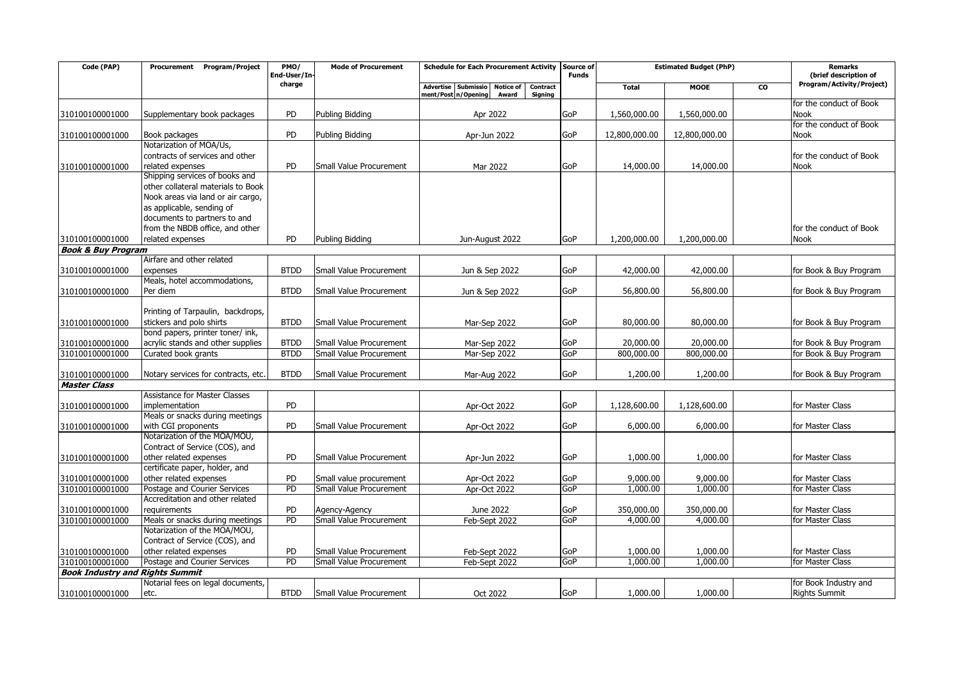| Code (PAP)                             | Procurement Program/Project                               | PMO/<br>End-User/In- | <b>Mode of Procurement</b> | <b>Schedule for Each Procurement Activity</b>                                        | Source of<br><b>Funds</b> | <b>Estimated Budget (PhP)</b> |               | <b>Remarks</b><br>(brief description of |                           |
|----------------------------------------|-----------------------------------------------------------|----------------------|----------------------------|--------------------------------------------------------------------------------------|---------------------------|-------------------------------|---------------|-----------------------------------------|---------------------------|
|                                        |                                                           | charge               |                            | <b>Notice of</b><br><b>Advertise</b><br>Submissio<br>Contract<br>ment/Post n/Opening |                           | <b>Total</b>                  | <b>MOOE</b>   | <b>CO</b>                               | Program/Activity/Project) |
|                                        |                                                           |                      |                            | Award<br>Signing                                                                     |                           |                               |               |                                         | for the conduct of Book   |
| 310100100001000                        | Supplementary book packages                               | PD                   | Publing Bidding            | Apr 2022                                                                             | GoP                       | 1,560,000.00                  | 1,560,000.00  |                                         | Nook                      |
|                                        |                                                           |                      |                            |                                                                                      |                           |                               |               |                                         | for the conduct of Book   |
| 310100100001000                        | Book packages                                             | <b>PD</b>            | Publing Bidding            | Apr-Jun 2022                                                                         | GoP                       | 12,800,000.00                 | 12,800,000.00 |                                         | <b>Nook</b>               |
|                                        | Notarization of MOA/Us,                                   |                      |                            |                                                                                      |                           |                               |               |                                         |                           |
|                                        | contracts of services and other                           |                      |                            |                                                                                      |                           |                               |               |                                         | for the conduct of Book   |
| 310100100001000                        | related expenses                                          | PD                   | Small Value Procurement    | Mar 2022                                                                             | GoP                       | 14,000.00                     | 14,000.00     |                                         | Nook                      |
|                                        | Shipping services of books and                            |                      |                            |                                                                                      |                           |                               |               |                                         |                           |
|                                        | other collateral materials to Book                        |                      |                            |                                                                                      |                           |                               |               |                                         |                           |
|                                        | Nook areas via land or air cargo,                         |                      |                            |                                                                                      |                           |                               |               |                                         |                           |
|                                        | as applicable, sending of<br>documents to partners to and |                      |                            |                                                                                      |                           |                               |               |                                         |                           |
|                                        | from the NBDB office, and other                           |                      |                            |                                                                                      |                           |                               |               |                                         | for the conduct of Book   |
| 310100100001000                        | related expenses                                          | PD                   | Publing Bidding            | Jun-August 2022                                                                      | GoP                       | 1,200,000.00                  | 1,200,000.00  |                                         | <b>Nook</b>               |
| <b>Book &amp; Buy Program</b>          |                                                           |                      |                            |                                                                                      |                           |                               |               |                                         |                           |
|                                        | Airfare and other related                                 |                      |                            |                                                                                      |                           |                               |               |                                         |                           |
| 310100100001000                        | expenses                                                  | <b>BTDD</b>          | Small Value Procurement    | Jun & Sep 2022                                                                       | GoP                       | 42,000.00                     | 42,000.00     |                                         | for Book & Buy Program    |
|                                        | Meals, hotel accommodations,                              |                      |                            |                                                                                      |                           |                               |               |                                         |                           |
| 310100100001000                        | Per diem                                                  | <b>BTDD</b>          | Small Value Procurement    | Jun & Sep 2022                                                                       | GoP                       | 56,800.00                     | 56,800.00     |                                         | for Book & Buy Program    |
|                                        |                                                           |                      |                            |                                                                                      |                           |                               |               |                                         |                           |
|                                        | Printing of Tarpaulin, backdrops,                         |                      |                            |                                                                                      |                           |                               |               |                                         |                           |
| 310100100001000                        | stickers and polo shirts                                  | <b>BTDD</b>          | Small Value Procurement    | Mar-Sep 2022                                                                         | GoP                       | 80,000.00                     | 80,000.00     |                                         | for Book & Buy Program    |
|                                        | bond papers, printer toner/ ink,                          |                      |                            |                                                                                      |                           |                               |               |                                         |                           |
| 310100100001000                        | acrylic stands and other supplies                         | <b>BTDD</b>          | Small Value Procurement    | Mar-Sep 2022                                                                         | GoP                       | 20,000,00                     | 20,000.00     |                                         | for Book & Buy Program    |
| 310100100001000                        | Curated book grants                                       | <b>BTDD</b>          | Small Value Procurement    | Mar-Sep 2022                                                                         | GoP                       | 800,000.00                    | 800,000.00    |                                         | for Book & Buy Program    |
|                                        |                                                           | <b>BTDD</b>          |                            |                                                                                      | GoP                       | 1,200.00                      | 1,200.00      |                                         |                           |
| 310100100001000<br><b>Master Class</b> | Notary services for contracts, etc.                       |                      | Small Value Procurement    | Mar-Aug 2022                                                                         |                           |                               |               |                                         | for Book & Buy Program    |
|                                        | <b>Assistance for Master Classes</b>                      |                      |                            |                                                                                      |                           |                               |               |                                         |                           |
| 310100100001000                        | implementation                                            | PD                   |                            | Apr-Oct 2022                                                                         | GoP                       | 1,128,600.00                  | 1,128,600.00  |                                         | for Master Class          |
|                                        | Meals or snacks during meetings                           |                      |                            |                                                                                      |                           |                               |               |                                         |                           |
| 310100100001000                        | with CGI proponents                                       | PD                   | Small Value Procurement    | Apr-Oct 2022                                                                         | GoP                       | 6,000.00                      | 6,000.00      |                                         | for Master Class          |
|                                        | Notarization of the MOA/MOU,                              |                      |                            |                                                                                      |                           |                               |               |                                         |                           |
|                                        | Contract of Service (COS), and                            |                      |                            |                                                                                      |                           |                               |               |                                         |                           |
| 310100100001000                        | other related expenses                                    | <b>PD</b>            | Small Value Procurement    | Apr-Jun 2022                                                                         | GoP                       | 1,000.00                      | 1,000.00      |                                         | for Master Class          |
|                                        | certificate paper, holder, and                            |                      |                            |                                                                                      |                           |                               |               |                                         |                           |
| 310100100001000                        | other related expenses                                    | PD                   | Small value procurement    | Apr-Oct 2022                                                                         | GoP                       | 9,000.00                      | 9,000.00      |                                         | for Master Class          |
| 310100100001000                        | Postage and Courier Services                              | PD                   | Small Value Procurement    | Apr-Oct 2022                                                                         | GoP                       | 1,000.00                      | 1,000.00      |                                         | for Master Class          |
|                                        | Accreditation and other related                           |                      |                            |                                                                                      |                           |                               |               |                                         |                           |
| 310100100001000                        | requirements                                              | PD                   | Agency-Agency              | June 2022                                                                            | GoP                       | 350,000.00                    | 350,000.00    |                                         | for Master Class          |
| 310100100001000                        | Meals or snacks during meetings                           | PD                   | Small Value Procurement    | Feb-Sept 2022                                                                        | GoP                       | 4,000.00                      | 4,000.00      |                                         | for Master Class          |
|                                        | Notarization of the MOA/MOU,                              |                      |                            |                                                                                      |                           |                               |               |                                         |                           |
|                                        | Contract of Service (COS), and<br>other related expenses  | PD                   | Small Value Procurement    | Feb-Sept 2022                                                                        | GoP                       | 1,000.00                      | 1,000.00      |                                         | for Master Class          |
| 310100100001000<br>310100100001000     | Postage and Courier Services                              | PD                   | Small Value Procurement    | Feb-Sept 2022                                                                        | GoP                       | 1,000.00                      | 1,000.00      |                                         | for Master Class          |
| <b>Book Industry and Rights Summit</b> |                                                           |                      |                            |                                                                                      |                           |                               |               |                                         |                           |
|                                        | Notarial fees on legal documents,                         |                      |                            |                                                                                      |                           |                               |               |                                         | for Book Industry and     |
| 310100100001000                        | etc.                                                      | <b>BTDD</b>          | Small Value Procurement    | Oct 2022                                                                             | GoP                       | 1,000.00                      | 1,000.00      |                                         | <b>Rights Summit</b>      |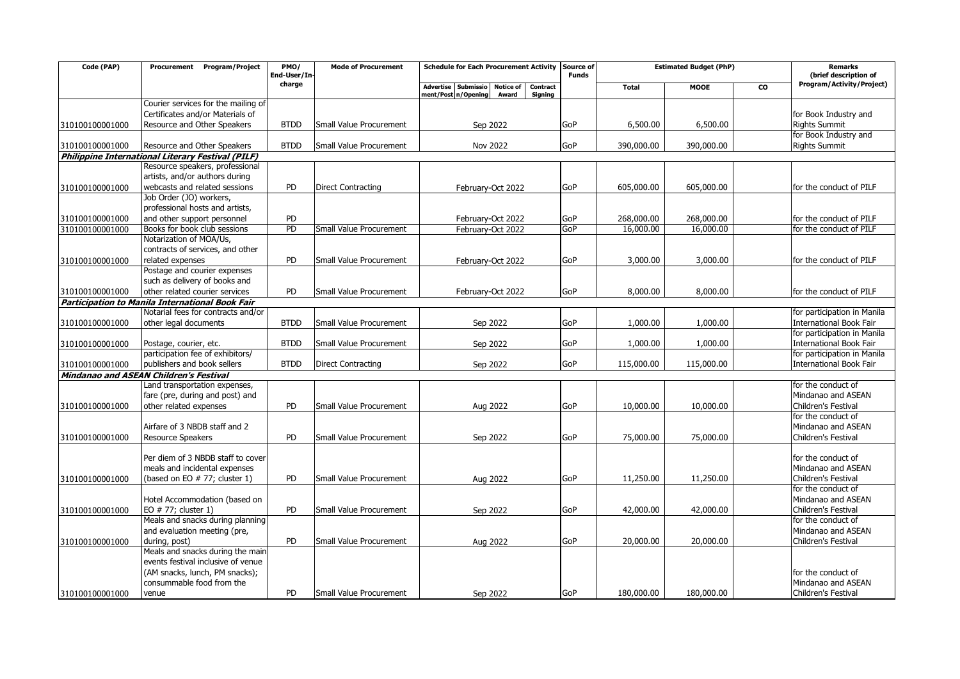| Code (PAP)      | Program/Project<br>Procurement                                                           | PMO/<br>End-User/In- | <b>Mode of Procurement</b>     | Schedule for Each Procurement Activity Source of | <b>Funds</b> | <b>Estimated Budget (PhP)</b> |             | Remarks<br>(brief description of |                                          |
|-----------------|------------------------------------------------------------------------------------------|----------------------|--------------------------------|--------------------------------------------------|--------------|-------------------------------|-------------|----------------------------------|------------------------------------------|
|                 |                                                                                          | charge               |                                | Contract<br>Advertise Submissio<br>Notice of     |              | <b>Total</b>                  | <b>MOOE</b> | <b>CO</b>                        | Program/Activity/Project)                |
|                 | Courier services for the mailing of                                                      |                      |                                | ment/Post n/Opening<br>Award<br><b>Signing</b>   |              |                               |             |                                  |                                          |
|                 | Certificates and/or Materials of                                                         |                      |                                |                                                  |              |                               |             |                                  | for Book Industry and                    |
| 310100100001000 | Resource and Other Speakers                                                              | <b>BTDD</b>          | Small Value Procurement        | Sep 2022                                         | GoP          | 6,500.00                      | 6,500.00    |                                  | <b>Rights Summit</b>                     |
|                 |                                                                                          |                      |                                |                                                  |              |                               |             |                                  | for Book Industry and                    |
| 310100100001000 | Resource and Other Speakers                                                              | <b>BTDD</b>          | Small Value Procurement        | <b>Nov 2022</b>                                  | <b>GoP</b>   | 390,000.00                    | 390,000,00  |                                  | <b>Rights Summit</b>                     |
|                 | Philippine International Literary Festival (PILF)                                        |                      |                                |                                                  |              |                               |             |                                  |                                          |
|                 | Resource speakers, professional                                                          |                      |                                |                                                  |              |                               |             |                                  |                                          |
|                 | artists, and/or authors during                                                           |                      |                                |                                                  |              |                               |             |                                  |                                          |
| 310100100001000 | webcasts and related sessions                                                            | PD                   | <b>Direct Contracting</b>      | February-Oct 2022                                | GoP          | 605,000.00                    | 605,000.00  |                                  | for the conduct of PILF                  |
|                 | Job Order (JO) workers,                                                                  |                      |                                |                                                  |              |                               |             |                                  |                                          |
|                 | professional hosts and artists,                                                          |                      |                                |                                                  |              |                               |             |                                  |                                          |
| 310100100001000 | and other support personnel                                                              | PD                   |                                | February-Oct 2022                                | GoP          | 268,000.00                    | 268,000.00  |                                  | for the conduct of PILF                  |
| 310100100001000 | Books for book club sessions                                                             | PD                   | Small Value Procurement        | February-Oct 2022                                | GoP          | 16,000.00                     | 16,000.00   |                                  | for the conduct of PILF                  |
|                 | Notarization of MOA/Us,                                                                  |                      |                                |                                                  |              |                               |             |                                  |                                          |
|                 | contracts of services, and other                                                         |                      |                                |                                                  |              |                               |             |                                  |                                          |
| 310100100001000 | related expenses                                                                         | <b>PD</b>            | Small Value Procurement        | February-Oct 2022                                | <b>GoP</b>   | 3,000.00                      | 3,000.00    |                                  | for the conduct of PILF                  |
|                 | Postage and courier expenses                                                             |                      |                                |                                                  |              |                               |             |                                  |                                          |
|                 | such as delivery of books and                                                            | PD                   |                                |                                                  |              |                               |             |                                  |                                          |
| 310100100001000 | other related courier services<br><b>Participation to Manila International Book Fair</b> |                      | Small Value Procurement        | February-Oct 2022                                | GoP          | 8,000.00                      | 8,000.00    |                                  | for the conduct of PILF                  |
|                 | Notarial fees for contracts and/or                                                       |                      |                                |                                                  |              |                               |             |                                  | for participation in Manila              |
| 310100100001000 | other legal documents                                                                    | <b>BTDD</b>          | Small Value Procurement        | Sep 2022                                         | GoP          | 1,000.00                      | 1,000.00    |                                  | <b>International Book Fair</b>           |
|                 |                                                                                          |                      |                                |                                                  |              |                               |             |                                  | for participation in Manila              |
| 310100100001000 | Postage, courier, etc.                                                                   | <b>BTDD</b>          | Small Value Procurement        | Sep 2022                                         | GoP          | 1,000.00                      | 1,000.00    |                                  | <b>International Book Fair</b>           |
|                 | participation fee of exhibitors/                                                         |                      |                                |                                                  |              |                               |             |                                  | for participation in Manila              |
| 310100100001000 | publishers and book sellers                                                              | <b>BTDD</b>          | <b>Direct Contracting</b>      | Sep 2022                                         | GoP          | 115,000.00                    | 115,000.00  |                                  | <b>International Book Fair</b>           |
|                 | <b>Mindanao and ASEAN Children's Festival</b>                                            |                      |                                |                                                  |              |                               |             |                                  |                                          |
|                 | Land transportation expenses,                                                            |                      |                                |                                                  |              |                               |             |                                  | for the conduct of                       |
|                 | fare (pre, during and post) and                                                          |                      |                                |                                                  |              |                               |             |                                  | Mindanao and ASEAN                       |
| 310100100001000 | other related expenses                                                                   | PD                   | Small Value Procurement        | Aug 2022                                         | GoP          | 10,000.00                     | 10,000.00   |                                  | Children's Festival                      |
|                 |                                                                                          |                      |                                |                                                  |              |                               |             |                                  | for the conduct of                       |
|                 | Airfare of 3 NBDB staff and 2                                                            |                      |                                |                                                  |              |                               |             |                                  | Mindanao and ASEAN                       |
| 310100100001000 | Resource Speakers                                                                        | <b>PD</b>            | Small Value Procurement        | Sep 2022                                         | GoP          | 75,000.00                     | 75,000.00   |                                  | Children's Festival                      |
|                 |                                                                                          |                      |                                |                                                  |              |                               |             |                                  |                                          |
|                 | Per diem of 3 NBDB staff to cover                                                        |                      |                                |                                                  |              |                               |             |                                  | for the conduct of                       |
|                 | meals and incidental expenses                                                            |                      |                                |                                                  |              |                               |             |                                  | Mindanao and ASEAN                       |
| 310100100001000 | (based on EO # 77; cluster 1)                                                            | PD                   | Small Value Procurement        | Aug 2022                                         | GoP          | 11,250.00                     | 11,250.00   |                                  | Children's Festival                      |
|                 |                                                                                          |                      |                                |                                                  |              |                               |             |                                  | for the conduct of<br>Mindanao and ASEAN |
| 310100100001000 | Hotel Accommodation (based on<br>EO # 77; cluster 1)                                     | PD                   | Small Value Procurement        |                                                  | GoP          | 42,000.00                     | 42,000.00   |                                  | Children's Festival                      |
|                 | Meals and snacks during planning                                                         |                      |                                | Sep 2022                                         |              |                               |             |                                  | for the conduct of                       |
|                 | and evaluation meeting (pre,                                                             |                      |                                |                                                  |              |                               |             |                                  | Mindanao and ASEAN                       |
| 310100100001000 | during, post)                                                                            | <b>PD</b>            | Small Value Procurement        | Aug 2022                                         | GoP          | 20,000.00                     | 20,000.00   |                                  | Children's Festival                      |
|                 | Meals and snacks during the main                                                         |                      |                                |                                                  |              |                               |             |                                  |                                          |
|                 | events festival inclusive of venue                                                       |                      |                                |                                                  |              |                               |             |                                  |                                          |
|                 | (AM snacks, lunch, PM snacks);                                                           |                      |                                |                                                  |              |                               |             |                                  | for the conduct of                       |
|                 | consummable food from the                                                                |                      |                                |                                                  |              |                               |             |                                  | Mindanao and ASEAN                       |
| 310100100001000 | venue                                                                                    | <b>PD</b>            | <b>Small Value Procurement</b> | Sep 2022                                         | GoP          | 180,000.00                    | 180,000.00  |                                  | Children's Festival                      |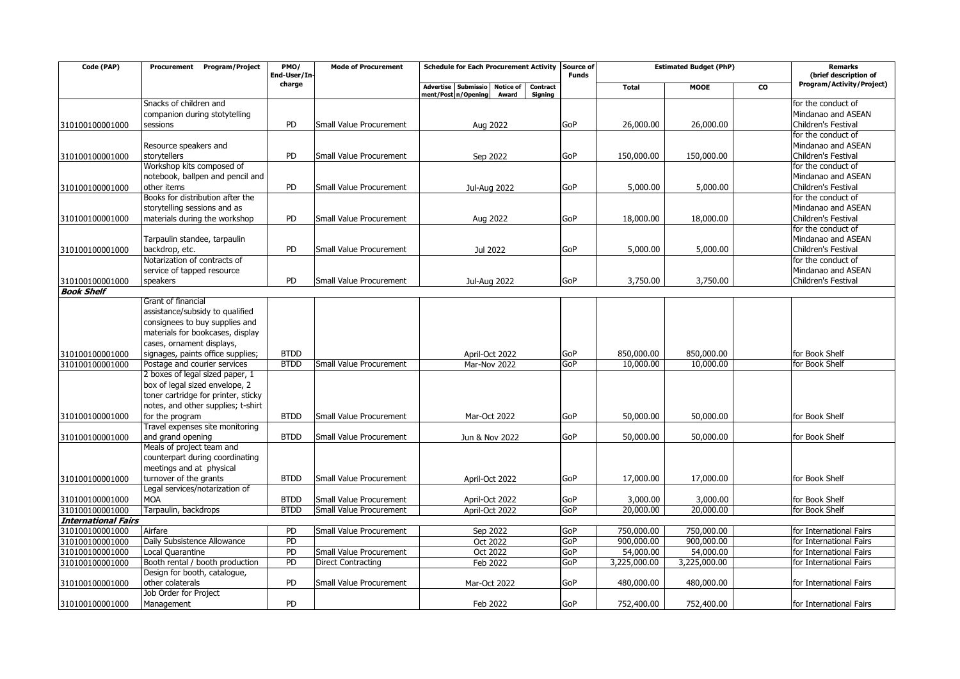| Code (PAP)                 | Program/Project<br>Procurement                                  | PMO/<br>End-User/In        | <b>Mode of Procurement</b> | <b>Schedule for Each Procurement Activity</b>                                                  | Source of<br><b>Funds</b> | <b>Estimated Budget (PhP)</b> |              | <b>Remarks</b><br>(brief description of |                                  |
|----------------------------|-----------------------------------------------------------------|----------------------------|----------------------------|------------------------------------------------------------------------------------------------|---------------------------|-------------------------------|--------------|-----------------------------------------|----------------------------------|
|                            |                                                                 | charge                     |                            | <b>Advertise</b><br>Submissio Notice of<br>Contract<br>ment/Post n/Opening<br>Award<br>Signing |                           | <b>Total</b>                  | <b>MOOE</b>  | <b>CO</b>                               | Program/Activity/Project)        |
|                            | Snacks of children and                                          |                            |                            |                                                                                                |                           |                               |              |                                         | for the conduct of               |
|                            | companion during stotytelling                                   |                            |                            |                                                                                                |                           |                               |              |                                         | Mindanao and ASEAN               |
| 310100100001000            | sessions                                                        | <b>PD</b>                  | Small Value Procurement    | Aug 2022                                                                                       | GoP                       | 26,000.00                     | 26,000.00    |                                         | Children's Festival              |
|                            |                                                                 |                            |                            |                                                                                                |                           |                               |              |                                         | for the conduct of               |
|                            | Resource speakers and                                           |                            |                            |                                                                                                |                           |                               |              |                                         | Mindanao and ASEAN               |
| 310100100001000            | storytellers                                                    | PD                         | Small Value Procurement    | Sep 2022                                                                                       | GoP                       | 150,000.00                    | 150,000.00   |                                         | Children's Festival              |
|                            | Workshop kits composed of                                       |                            |                            |                                                                                                |                           |                               |              |                                         | for the conduct of               |
|                            | notebook, ballpen and pencil and                                |                            |                            |                                                                                                |                           |                               |              |                                         | Mindanao and ASEAN               |
| 310100100001000            | other items                                                     | <b>PD</b>                  | Small Value Procurement    | Jul-Aug 2022                                                                                   | GoP                       | 5,000.00                      | 5,000.00     |                                         | Children's Festival              |
|                            | Books for distribution after the                                |                            |                            |                                                                                                |                           |                               |              |                                         | for the conduct of               |
|                            | storytelling sessions and as                                    |                            |                            |                                                                                                |                           |                               |              |                                         | Mindanao and ASEAN               |
| 310100100001000            | materials during the workshop                                   | <b>PD</b>                  | Small Value Procurement    | Aug 2022                                                                                       | GoP                       | 18,000.00                     | 18,000.00    |                                         | Children's Festival              |
|                            |                                                                 |                            |                            |                                                                                                |                           |                               |              |                                         | for the conduct of               |
|                            | Tarpaulin standee, tarpaulin                                    |                            |                            |                                                                                                |                           |                               |              |                                         | Mindanao and ASEAN               |
| 310100100001000            | backdrop, etc.                                                  | <b>PD</b>                  | Small Value Procurement    | Jul 2022                                                                                       | GoP                       | 5,000.00                      | 5,000.00     |                                         | Children's Festival              |
|                            | Notarization of contracts of                                    |                            |                            |                                                                                                |                           |                               |              |                                         | for the conduct of               |
|                            | service of tapped resource                                      |                            |                            |                                                                                                |                           |                               |              |                                         | Mindanao and ASEAN               |
| 310100100001000            | speakers                                                        | <b>PD</b>                  | Small Value Procurement    | Jul-Aug 2022                                                                                   | GoP                       | 3,750.00                      | 3,750.00     |                                         | Children's Festival              |
| <b>Book Shelf</b>          |                                                                 |                            |                            |                                                                                                |                           |                               |              |                                         |                                  |
|                            | Grant of financial                                              |                            |                            |                                                                                                |                           |                               |              |                                         |                                  |
|                            | assistance/subsidy to qualified                                 |                            |                            |                                                                                                |                           |                               |              |                                         |                                  |
|                            | consignees to buy supplies and                                  |                            |                            |                                                                                                |                           |                               |              |                                         |                                  |
|                            | materials for bookcases, display                                |                            |                            |                                                                                                |                           |                               |              |                                         |                                  |
|                            | cases, ornament displays,                                       |                            |                            |                                                                                                |                           |                               | 850,000,00   |                                         |                                  |
| 310100100001000            | signages, paints office supplies;                               | <b>BTDD</b><br><b>BTDD</b> | Small Value Procurement    | April-Oct 2022                                                                                 | GoP<br>GoP                | 850,000.00<br>10,000.00       | 10,000.00    |                                         | for Book Shelf<br>for Book Shelf |
| 310100100001000            | Postage and courier services<br>2 boxes of legal sized paper, 1 |                            |                            | Mar-Nov 2022                                                                                   |                           |                               |              |                                         |                                  |
|                            | box of legal sized envelope, 2                                  |                            |                            |                                                                                                |                           |                               |              |                                         |                                  |
|                            | toner cartridge for printer, sticky                             |                            |                            |                                                                                                |                           |                               |              |                                         |                                  |
|                            | notes, and other supplies; t-shirt                              |                            |                            |                                                                                                |                           |                               |              |                                         |                                  |
| 310100100001000            | for the program                                                 | <b>BTDD</b>                | Small Value Procurement    | Mar-Oct 2022                                                                                   | GoP                       | 50,000.00                     | 50,000.00    |                                         | for Book Shelf                   |
|                            | Travel expenses site monitoring                                 |                            |                            |                                                                                                |                           |                               |              |                                         |                                  |
| 310100100001000            | and grand opening                                               | <b>BTDD</b>                | Small Value Procurement    | Jun & Nov 2022                                                                                 | GoP                       | 50,000.00                     | 50,000.00    |                                         | for Book Shelf                   |
|                            | Meals of project team and                                       |                            |                            |                                                                                                |                           |                               |              |                                         |                                  |
|                            | counterpart during coordinating                                 |                            |                            |                                                                                                |                           |                               |              |                                         |                                  |
|                            | meetings and at physical                                        |                            |                            |                                                                                                |                           |                               |              |                                         |                                  |
| 310100100001000            | turnover of the grants                                          | <b>BTDD</b>                | Small Value Procurement    | April-Oct 2022                                                                                 | GoP                       | 17,000.00                     | 17,000.00    |                                         | for Book Shelf                   |
|                            | Legal services/notarization of                                  |                            |                            |                                                                                                |                           |                               |              |                                         |                                  |
| 310100100001000            | <b>MOA</b>                                                      | <b>BTDD</b>                | Small Value Procurement    | April-Oct 2022                                                                                 | GoP                       | 3,000.00                      | 3,000.00     |                                         | for Book Shelf                   |
| 310100100001000            | Tarpaulin, backdrops                                            | <b>BTDD</b>                | Small Value Procurement    | April-Oct 2022                                                                                 | GoP                       | 20,000.00                     | 20,000.00    |                                         | for Book Shelf                   |
| <b>International Fairs</b> |                                                                 |                            |                            |                                                                                                |                           |                               |              |                                         |                                  |
| 310100100001000            | Airfare                                                         | PD                         | Small Value Procurement    | Sep 2022                                                                                       | GoP                       | 750,000.00                    | 750,000.00   |                                         | for International Fairs          |
| 310100100001000            | Daily Subsistence Allowance                                     | PD                         |                            | Oct 2022                                                                                       | GoP                       | 900,000.00                    | 900,000.00   |                                         | for International Fairs          |
| 310100100001000            | Local Quarantine                                                | PD                         | Small Value Procurement    | Oct 2022                                                                                       | GoP                       | 54,000.00                     | 54,000.00    |                                         | for International Fairs          |
| 310100100001000            | Booth rental / booth production                                 | PD                         | <b>Direct Contracting</b>  | Feb 2022                                                                                       | GoP                       | 3,225,000.00                  | 3,225,000.00 |                                         | for International Fairs          |
|                            | Design for booth, catalogue,                                    |                            |                            |                                                                                                |                           |                               |              |                                         |                                  |
| 310100100001000            | other colaterals                                                | PD                         | Small Value Procurement    | Mar-Oct 2022                                                                                   | GoP                       | 480,000.00                    | 480,000.00   |                                         | for International Fairs          |
|                            | Job Order for Project                                           |                            |                            |                                                                                                |                           |                               |              |                                         |                                  |
| 310100100001000            | Management                                                      | <b>PD</b>                  |                            | Feb 2022                                                                                       | <b>GoP</b>                | 752,400.00                    | 752,400.00   |                                         | for International Fairs          |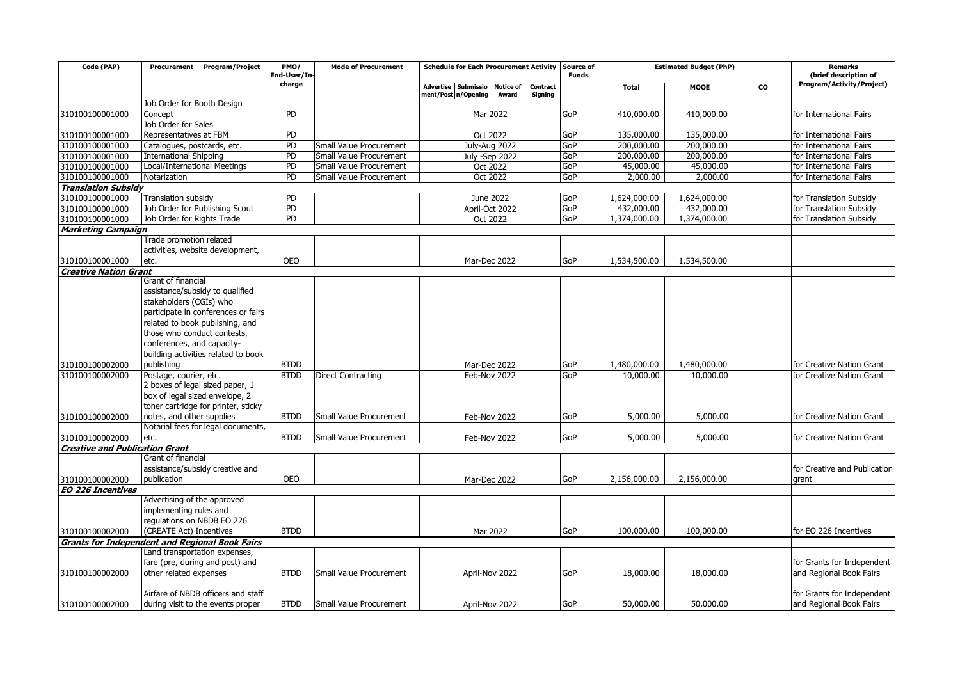| Code (PAP)                            | Program/Project<br>Procurement                                                         | PMO/<br>End-User/In- | <b>Mode of Procurement</b> | <b>Schedule for Each Procurement Activity</b>                                                  | Source of<br><b>Funds</b> | <b>Estimated Budget (PhP)</b> |              | Remarks<br>(brief description of |                              |
|---------------------------------------|----------------------------------------------------------------------------------------|----------------------|----------------------------|------------------------------------------------------------------------------------------------|---------------------------|-------------------------------|--------------|----------------------------------|------------------------------|
|                                       |                                                                                        | charge               |                            | Advertise Submissio<br><b>Notice of</b><br>Contract<br>ment/Post n/Opening<br>Award<br>Signing |                           | <b>Total</b>                  | <b>MOOE</b>  | <b>CO</b>                        | Program/Activity/Project)    |
|                                       | Job Order for Booth Design                                                             |                      |                            |                                                                                                |                           |                               |              |                                  |                              |
| 310100100001000                       | Concept                                                                                | PD                   |                            | Mar 2022                                                                                       | GoP                       | 410,000.00                    | 410,000.00   |                                  | for International Fairs      |
|                                       | Job Order for Sales                                                                    |                      |                            |                                                                                                |                           |                               |              |                                  |                              |
| 310100100001000                       | Representatives at FBM                                                                 | PD                   |                            | Oct 2022                                                                                       | GoP                       | 135,000.00                    | 135,000.00   |                                  | for International Fairs      |
| 310100100001000                       | Catalogues, postcards, etc.                                                            | PD                   | Small Value Procurement    | July-Aug 2022                                                                                  | GoP                       | 200,000.00                    | 200,000.00   |                                  | for International Fairs      |
| 310100100001000                       | <b>International Shipping</b>                                                          | PD                   | Small Value Procurement    | July -Sep 2022                                                                                 | GoP                       | 200,000.00                    | 200,000.00   |                                  | for International Fairs      |
| 310100100001000                       | Local/International Meetings                                                           | PD                   | Small Value Procurement    | Oct 2022                                                                                       | GoP                       | 45,000.00                     | 45,000.00    |                                  | for International Fairs      |
| 310100100001000                       | Notarization                                                                           | $\overline{PD}$      | Small Value Procurement    | Oct 2022                                                                                       | GoP                       | 2,000.00                      | 2,000.00     |                                  | for International Fairs      |
| <b>Translation Subsidy</b>            |                                                                                        |                      |                            |                                                                                                |                           |                               |              |                                  |                              |
| 310100100001000                       | <b>Translation subsidy</b>                                                             | PD                   |                            | June 2022                                                                                      | GoP                       | 1,624,000.00                  | 1,624,000.00 |                                  | for Translation Subsidy      |
| 310100100001000                       | Job Order for Publishing Scout                                                         | PD                   |                            | April-Oct 2022                                                                                 | GoP                       | 432,000.00                    | 432,000.00   |                                  | for Translation Subsidy      |
| 310100100001000                       | Job Order for Rights Trade                                                             | PD                   |                            | Oct 2022                                                                                       | GoP                       | 1,374,000.00                  | 1,374,000.00 |                                  | for Translation Subsidy      |
| <b>Marketing Campaign</b>             |                                                                                        |                      |                            |                                                                                                |                           |                               |              |                                  |                              |
|                                       | Trade promotion related                                                                |                      |                            |                                                                                                |                           |                               |              |                                  |                              |
|                                       | activities, website development,                                                       |                      |                            |                                                                                                |                           |                               |              |                                  |                              |
| 310100100001000                       | etc.                                                                                   | <b>OEO</b>           |                            | Mar-Dec 2022                                                                                   | GoP                       | 1,534,500.00                  | 1,534,500.00 |                                  |                              |
| <b>Creative Nation Grant</b>          |                                                                                        |                      |                            |                                                                                                |                           |                               |              |                                  |                              |
|                                       | Grant of financial                                                                     |                      |                            |                                                                                                |                           |                               |              |                                  |                              |
|                                       | assistance/subsidy to qualified                                                        |                      |                            |                                                                                                |                           |                               |              |                                  |                              |
|                                       | stakeholders (CGIs) who                                                                |                      |                            |                                                                                                |                           |                               |              |                                  |                              |
|                                       | participate in conferences or fairs                                                    |                      |                            |                                                                                                |                           |                               |              |                                  |                              |
|                                       | related to book publishing, and                                                        |                      |                            |                                                                                                |                           |                               |              |                                  |                              |
|                                       | those who conduct contests,                                                            |                      |                            |                                                                                                |                           |                               |              |                                  |                              |
|                                       | conferences, and capacity-                                                             |                      |                            |                                                                                                |                           |                               |              |                                  |                              |
|                                       | building activities related to book                                                    |                      |                            |                                                                                                |                           |                               |              |                                  |                              |
| 310100100002000                       | publishing                                                                             | <b>BTDD</b>          |                            | Mar-Dec 2022                                                                                   | GoP                       | 1,480,000.00                  | 1,480,000.00 |                                  | for Creative Nation Grant    |
| 310100100002000                       | Postage, courier, etc.                                                                 | <b>BTDD</b>          | Direct Contracting         | Feb-Nov 2022                                                                                   | GoP                       | 10,000.00                     | 10,000.00    |                                  | for Creative Nation Grant    |
|                                       | 2 boxes of legal sized paper, 1                                                        |                      |                            |                                                                                                |                           |                               |              |                                  |                              |
|                                       | box of legal sized envelope, 2                                                         |                      |                            |                                                                                                |                           |                               |              |                                  |                              |
|                                       | toner cartridge for printer, sticky                                                    |                      |                            |                                                                                                |                           |                               |              |                                  |                              |
| 310100100002000                       | notes, and other supplies                                                              | <b>BTDD</b>          | Small Value Procurement    | Feb-Nov 2022                                                                                   | GoP                       | 5,000.00                      | 5,000.00     |                                  | for Creative Nation Grant    |
|                                       | Notarial fees for legal documents,                                                     |                      |                            |                                                                                                |                           |                               |              |                                  |                              |
| 310100100002000                       | etc.                                                                                   | <b>BTDD</b>          | Small Value Procurement    | Feb-Nov 2022                                                                                   | GoP                       | 5,000.00                      | 5,000.00     |                                  | for Creative Nation Grant    |
| <b>Creative and Publication Grant</b> |                                                                                        |                      |                            |                                                                                                |                           |                               |              |                                  |                              |
|                                       | Grant of financial                                                                     |                      |                            |                                                                                                |                           |                               |              |                                  |                              |
|                                       | assistance/subsidy creative and                                                        | <b>OEO</b>           |                            |                                                                                                | GoP                       |                               |              |                                  | for Creative and Publication |
| 310100100002000                       | publication                                                                            |                      |                            | Mar-Dec 2022                                                                                   |                           | 2,156,000.00                  | 2,156,000.00 |                                  | grant                        |
| <b>EO 226 Incentives</b>              | Advertising of the approved                                                            |                      |                            |                                                                                                |                           |                               |              |                                  |                              |
|                                       |                                                                                        |                      |                            |                                                                                                |                           |                               |              |                                  |                              |
|                                       | implementing rules and<br>regulations on NBDB EO 226                                   |                      |                            |                                                                                                |                           |                               |              |                                  |                              |
| 310100100002000                       | (CREATE Act) Incentives                                                                | <b>BTDD</b>          |                            | Mar 2022                                                                                       | GoP                       | 100,000.00                    | 100,000.00   |                                  | for EO 226 Incentives        |
|                                       |                                                                                        |                      |                            |                                                                                                |                           |                               |              |                                  |                              |
|                                       | <b>Grants for Independent and Regional Book Fairs</b><br>Land transportation expenses, |                      |                            |                                                                                                |                           |                               |              |                                  |                              |
|                                       | fare (pre, during and post) and                                                        |                      |                            |                                                                                                |                           |                               |              |                                  | for Grants for Independent   |
| 310100100002000                       | other related expenses                                                                 | <b>BTDD</b>          | Small Value Procurement    | April-Nov 2022                                                                                 | GoP                       | 18,000.00                     | 18,000.00    |                                  | and Regional Book Fairs      |
|                                       |                                                                                        |                      |                            |                                                                                                |                           |                               |              |                                  |                              |
|                                       | Airfare of NBDB officers and staff                                                     |                      |                            |                                                                                                |                           |                               |              |                                  | for Grants for Independent   |
| 310100100002000                       | during visit to the events proper                                                      | <b>BTDD</b>          | Small Value Procurement    | April-Nov 2022                                                                                 | GoP                       | 50,000.00                     | 50,000.00    |                                  | and Regional Book Fairs      |
|                                       |                                                                                        |                      |                            |                                                                                                |                           |                               |              |                                  |                              |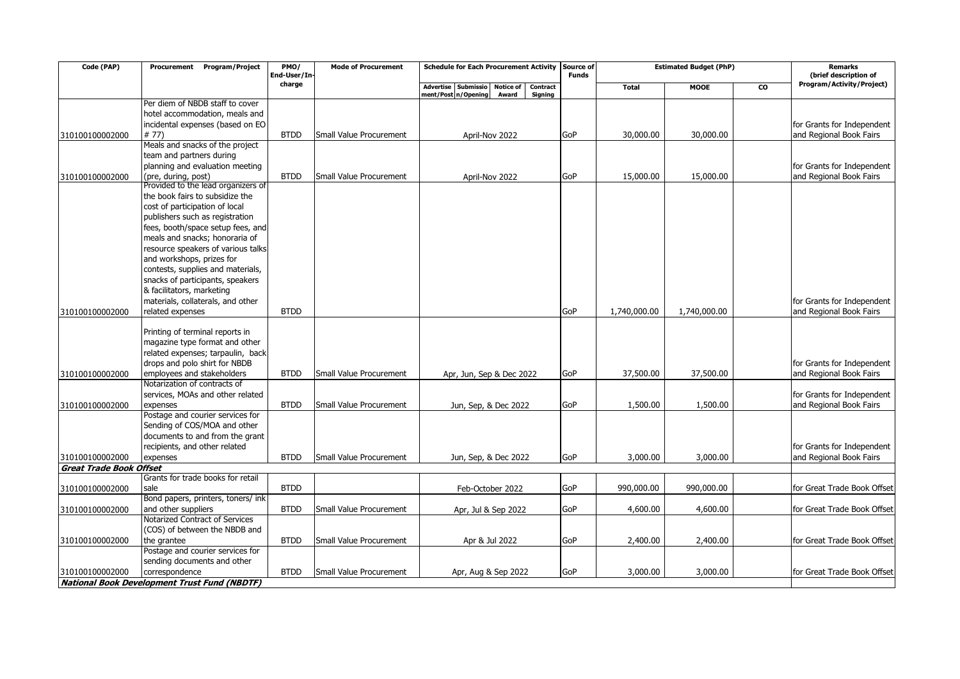| Code (PAP)                     | Procurement Program/Project                                       | PMO/<br>End-User/In | <b>Mode of Procurement</b> | <b>Schedule for Each Procurement Activity</b>       | Source of<br><b>Funds</b> | <b>Estimated Budget (PhP)</b> |              | <b>Remarks</b><br>(brief description of |                             |
|--------------------------------|-------------------------------------------------------------------|---------------------|----------------------------|-----------------------------------------------------|---------------------------|-------------------------------|--------------|-----------------------------------------|-----------------------------|
|                                |                                                                   | charge              |                            | Advertise Submissio<br><b>Notice of</b><br>Contract |                           | <b>Total</b>                  | <b>MOOE</b>  | <b>CO</b>                               | Program/Activity/Project)   |
|                                |                                                                   |                     |                            | ment/Post n/Opening<br>Award<br><b>Signing</b>      |                           |                               |              |                                         |                             |
|                                | Per diem of NBDB staff to cover                                   |                     |                            |                                                     |                           |                               |              |                                         |                             |
|                                | hotel accommodation, meals and                                    |                     |                            |                                                     |                           |                               |              |                                         |                             |
|                                | incidental expenses (based on EO                                  |                     |                            |                                                     |                           |                               |              |                                         | for Grants for Independent  |
| 310100100002000                | # 77)                                                             | <b>BTDD</b>         | Small Value Procurement    | April-Nov 2022                                      | GoP                       | 30,000.00                     | 30,000.00    |                                         | and Regional Book Fairs     |
|                                | Meals and snacks of the project                                   |                     |                            |                                                     |                           |                               |              |                                         |                             |
|                                | team and partners during                                          |                     |                            |                                                     |                           |                               |              |                                         |                             |
|                                | planning and evaluation meeting                                   |                     |                            |                                                     |                           |                               |              |                                         | for Grants for Independent  |
| 310100100002000                | (pre, during, post)                                               | <b>BTDD</b>         | Small Value Procurement    | April-Nov 2022                                      | GoP                       | 15,000.00                     | 15,000.00    |                                         | and Regional Book Fairs     |
|                                | Provided to the lead organizers of                                |                     |                            |                                                     |                           |                               |              |                                         |                             |
|                                | the book fairs to subsidize the                                   |                     |                            |                                                     |                           |                               |              |                                         |                             |
|                                | cost of participation of local                                    |                     |                            |                                                     |                           |                               |              |                                         |                             |
|                                | publishers such as registration                                   |                     |                            |                                                     |                           |                               |              |                                         |                             |
|                                | fees, booth/space setup fees, and                                 |                     |                            |                                                     |                           |                               |              |                                         |                             |
|                                | meals and snacks; honoraria of                                    |                     |                            |                                                     |                           |                               |              |                                         |                             |
|                                | resource speakers of various talks                                |                     |                            |                                                     |                           |                               |              |                                         |                             |
|                                | and workshops, prizes for                                         |                     |                            |                                                     |                           |                               |              |                                         |                             |
|                                | contests, supplies and materials,                                 |                     |                            |                                                     |                           |                               |              |                                         |                             |
|                                | snacks of participants, speakers                                  |                     |                            |                                                     |                           |                               |              |                                         |                             |
|                                | & facilitators, marketing                                         |                     |                            |                                                     |                           |                               |              |                                         |                             |
|                                | materials, collaterals, and other                                 |                     |                            |                                                     |                           |                               |              |                                         | for Grants for Independent  |
| 310100100002000                | related expenses                                                  | <b>BTDD</b>         |                            |                                                     | GoP                       | 1,740,000.00                  | 1,740,000.00 |                                         | and Regional Book Fairs     |
|                                | Printing of terminal reports in<br>magazine type format and other |                     |                            |                                                     |                           |                               |              |                                         |                             |
|                                | related expenses; tarpaulin, back                                 |                     |                            |                                                     |                           |                               |              |                                         |                             |
|                                | drops and polo shirt for NBDB                                     |                     |                            |                                                     |                           |                               |              |                                         | for Grants for Independent  |
| 310100100002000                | employees and stakeholders                                        | <b>BTDD</b>         | Small Value Procurement    | Apr, Jun, Sep & Dec 2022                            | GoP                       | 37,500.00                     | 37,500.00    |                                         | and Regional Book Fairs     |
|                                | Notarization of contracts of                                      |                     |                            |                                                     |                           |                               |              |                                         |                             |
|                                | services, MOAs and other related                                  |                     |                            |                                                     |                           |                               |              |                                         | for Grants for Independent  |
| 310100100002000                | expenses                                                          | <b>BTDD</b>         | Small Value Procurement    | Jun, Sep, & Dec 2022                                | GoP                       | 1,500.00                      | 1,500.00     |                                         | and Regional Book Fairs     |
|                                | Postage and courier services for                                  |                     |                            |                                                     |                           |                               |              |                                         |                             |
|                                | Sending of COS/MOA and other                                      |                     |                            |                                                     |                           |                               |              |                                         |                             |
|                                | documents to and from the grant                                   |                     |                            |                                                     |                           |                               |              |                                         |                             |
|                                | recipients, and other related                                     |                     |                            |                                                     |                           |                               |              |                                         | for Grants for Independent  |
| 310100100002000                | expenses                                                          | <b>BTDD</b>         | Small Value Procurement    | Jun, Sep, & Dec 2022                                | GoP                       | 3,000.00                      | 3,000.00     |                                         | and Regional Book Fairs     |
| <b>Great Trade Book Offset</b> |                                                                   |                     |                            |                                                     |                           |                               |              |                                         |                             |
|                                | Grants for trade books for retail                                 |                     |                            |                                                     |                           |                               |              |                                         |                             |
| 310100100002000                | sale                                                              | <b>BTDD</b>         |                            | Feb-October 2022                                    | GoP                       | 990,000.00                    | 990,000.00   |                                         | for Great Trade Book Offset |
|                                | Bond papers, printers, toners/ ink                                |                     |                            |                                                     |                           |                               |              |                                         |                             |
| 310100100002000                | and other suppliers                                               | <b>BTDD</b>         | Small Value Procurement    | Apr, Jul & Sep 2022                                 | GoP                       | 4,600.00                      | 4,600.00     |                                         | for Great Trade Book Offset |
|                                | Notarized Contract of Services                                    |                     |                            |                                                     |                           |                               |              |                                         |                             |
|                                | (COS) of between the NBDB and                                     |                     |                            |                                                     |                           |                               |              |                                         |                             |
| 310100100002000                | the grantee                                                       | <b>BTDD</b>         | Small Value Procurement    | Apr & Jul 2022                                      | GoP                       | 2,400.00                      | 2,400.00     |                                         | for Great Trade Book Offset |
|                                | Postage and courier services for                                  |                     |                            |                                                     |                           |                               |              |                                         |                             |
|                                | sending documents and other                                       |                     |                            |                                                     |                           |                               |              |                                         |                             |
| 310100100002000                | correspondence                                                    | <b>BTDD</b>         | Small Value Procurement    | Apr, Aug & Sep 2022                                 | GoP                       | 3,000.00                      | 3,000.00     |                                         | for Great Trade Book Offset |
|                                | <b>National Book Development Trust Fund (NBDTF)</b>               |                     |                            |                                                     |                           |                               |              |                                         |                             |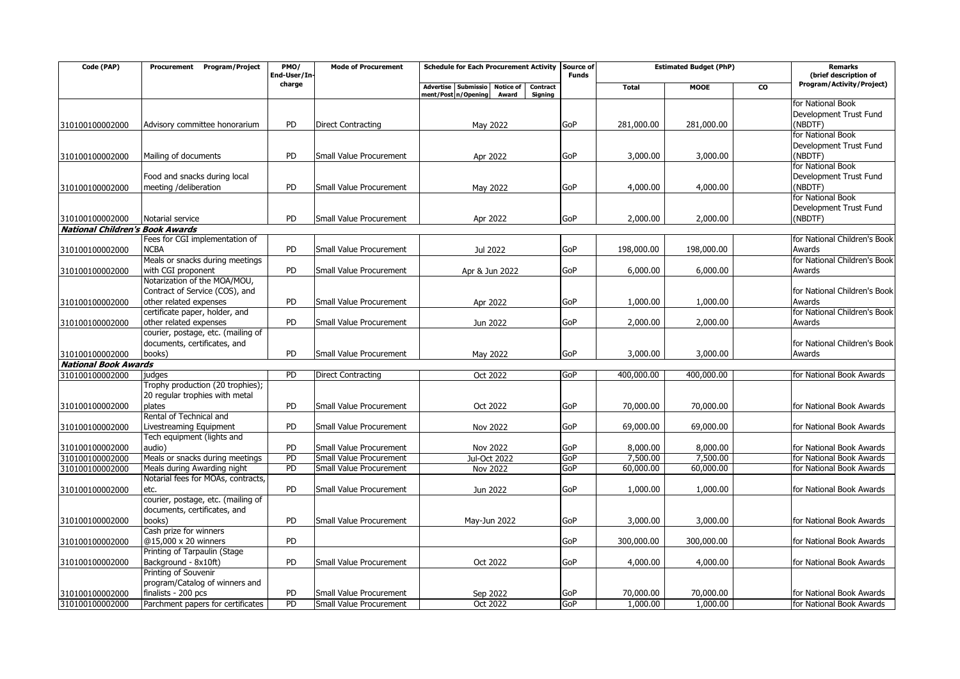| Code (PAP)                             | <b>Program/Project</b><br>Procurement                          | PMO/<br>End-User/In | <b>Mode of Procurement</b>                         | <b>Schedule for Each Procurement Activity</b>                                                  | Source of<br><b>Funds</b> | <b>Estimated Budget (PhP)</b> |                       | <b>Remarks</b><br>(brief description of |                              |
|----------------------------------------|----------------------------------------------------------------|---------------------|----------------------------------------------------|------------------------------------------------------------------------------------------------|---------------------------|-------------------------------|-----------------------|-----------------------------------------|------------------------------|
|                                        |                                                                | charge              |                                                    | Advertise Submissio<br><b>Notice of</b><br>Contract<br>ment/Post n/Opening<br>Signing<br>Award |                           | <b>Total</b>                  | <b>MOOE</b>           | <b>CO</b>                               | Program/Activity/Project)    |
|                                        |                                                                |                     |                                                    |                                                                                                |                           |                               |                       |                                         | for National Book            |
|                                        |                                                                |                     |                                                    |                                                                                                |                           |                               |                       |                                         | Development Trust Fund       |
| 310100100002000                        | Advisory committee honorarium                                  | <b>PD</b>           | <b>Direct Contracting</b>                          | May 2022                                                                                       | GoP                       | 281,000.00                    | 281,000.00            |                                         | (NBDTF)                      |
|                                        |                                                                |                     |                                                    |                                                                                                |                           |                               |                       |                                         | for National Book            |
|                                        |                                                                |                     |                                                    |                                                                                                |                           |                               |                       |                                         | Development Trust Fund       |
| 310100100002000                        | Mailing of documents                                           | <b>PD</b>           | Small Value Procurement                            | Apr 2022                                                                                       | GoP                       | 3,000.00                      | 3,000.00              |                                         | (NBDTF)                      |
|                                        |                                                                |                     |                                                    |                                                                                                |                           |                               |                       |                                         | for National Book            |
|                                        | Food and snacks during local                                   |                     |                                                    |                                                                                                |                           |                               |                       |                                         | Development Trust Fund       |
| 310100100002000                        | meeting /deliberation                                          | <b>PD</b>           | Small Value Procurement                            | May 2022                                                                                       | GoP                       | 4,000.00                      | 4,000.00              |                                         | (NBDTF)                      |
|                                        |                                                                |                     |                                                    |                                                                                                |                           |                               |                       |                                         | for National Book            |
|                                        |                                                                | <b>PD</b>           |                                                    |                                                                                                |                           |                               |                       |                                         | Development Trust Fund       |
| 310100100002000                        | Notarial service                                               |                     | Small Value Procurement                            | Apr 2022                                                                                       | GoP                       | 2,000.00                      | 2,000.00              |                                         | (NBDTF)                      |
| <b>National Children's Book Awards</b> | Fees for CGI implementation of                                 |                     |                                                    |                                                                                                |                           |                               |                       |                                         | for National Children's Book |
| 310100100002000                        | <b>NCBA</b>                                                    | <b>PD</b>           | Small Value Procurement                            | Jul 2022                                                                                       | GoP                       | 198,000.00                    | 198,000.00            |                                         | Awards                       |
|                                        | Meals or snacks during meetings                                |                     |                                                    |                                                                                                |                           |                               |                       |                                         | for National Children's Book |
| 310100100002000                        | with CGI proponent                                             | PD                  | Small Value Procurement                            | Apr & Jun 2022                                                                                 | GoP                       | 6,000.00                      | 6,000.00              |                                         | Awards                       |
|                                        | Notarization of the MOA/MOU,                                   |                     |                                                    |                                                                                                |                           |                               |                       |                                         |                              |
|                                        | Contract of Service (COS), and                                 |                     |                                                    |                                                                                                |                           |                               |                       |                                         | for National Children's Book |
| 310100100002000                        | other related expenses                                         | PD                  | Small Value Procurement                            | Apr 2022                                                                                       | GoP                       | 1,000.00                      | 1,000.00              |                                         | Awards                       |
|                                        | certificate paper, holder, and                                 |                     |                                                    |                                                                                                |                           |                               |                       |                                         | for National Children's Book |
| 310100100002000                        | other related expenses                                         | <b>PD</b>           | Small Value Procurement                            | Jun 2022                                                                                       | GoP                       | 2,000.00                      | 2,000.00              |                                         | Awards                       |
|                                        | courier, postage, etc. (mailing of                             |                     |                                                    |                                                                                                |                           |                               |                       |                                         |                              |
|                                        | documents, certificates, and                                   |                     |                                                    |                                                                                                |                           |                               |                       |                                         | for National Children's Book |
| 310100100002000                        | books)                                                         | <b>PD</b>           | Small Value Procurement                            | May 2022                                                                                       | GoP                       | 3,000.00                      | 3,000.00              |                                         | Awards                       |
| <b>National Book Awards</b>            |                                                                |                     |                                                    |                                                                                                |                           |                               |                       |                                         |                              |
| 310100100002000                        | judges                                                         | $\overline{PD}$     | <b>Direct Contracting</b>                          | Oct 2022                                                                                       | GoP                       | 400,000.00                    | 400,000.00            |                                         | for National Book Awards     |
|                                        | Trophy production (20 trophies);                               |                     |                                                    |                                                                                                |                           |                               |                       |                                         |                              |
|                                        | 20 regular trophies with metal                                 |                     |                                                    |                                                                                                |                           |                               |                       |                                         |                              |
| 310100100002000                        | plates                                                         | <b>PD</b>           | Small Value Procurement                            | Oct 2022                                                                                       | GoP                       | 70,000.00                     | 70,000.00             |                                         | for National Book Awards     |
|                                        | Rental of Technical and                                        |                     |                                                    |                                                                                                |                           |                               |                       |                                         |                              |
| 310100100002000                        | Livestreaming Equipment                                        | PD                  | Small Value Procurement                            | Nov 2022                                                                                       | GoP                       | 69,000.00                     | 69,000.00             |                                         | for National Book Awards     |
|                                        | Tech equipment (lights and                                     |                     |                                                    |                                                                                                |                           |                               |                       |                                         |                              |
| 310100100002000                        | audio)                                                         | PD                  | Small Value Procurement                            | Nov 2022                                                                                       | GoP                       | 8,000.00                      | 8,000.00              |                                         | for National Book Awards     |
| 310100100002000                        | Meals or snacks during meetings<br>Meals during Awarding night | PD<br>PD            | Small Value Procurement<br>Small Value Procurement | Jul-Oct 2022                                                                                   | GoP<br>GoP                | 7,500.00<br>60,000.00         | 7,500.00<br>60,000.00 |                                         | for National Book Awards     |
| 310100100002000                        | Notarial fees for MOAs, contracts,                             |                     |                                                    | <b>Nov 2022</b>                                                                                |                           |                               |                       |                                         | for National Book Awards     |
| 310100100002000                        | etc.                                                           | PD                  | Small Value Procurement                            | Jun 2022                                                                                       | GoP                       | 1,000.00                      | 1,000.00              |                                         | for National Book Awards     |
|                                        | courier, postage, etc. (mailing of                             |                     |                                                    |                                                                                                |                           |                               |                       |                                         |                              |
|                                        | documents, certificates, and                                   |                     |                                                    |                                                                                                |                           |                               |                       |                                         |                              |
| 310100100002000                        | books)                                                         | PD                  | Small Value Procurement                            | May-Jun 2022                                                                                   | GoP                       | 3,000.00                      | 3,000.00              |                                         | for National Book Awards     |
|                                        | Cash prize for winners                                         |                     |                                                    |                                                                                                |                           |                               |                       |                                         |                              |
| 310100100002000                        | @15,000 x 20 winners                                           | <b>PD</b>           |                                                    |                                                                                                | GoP                       | 300,000.00                    | 300,000.00            |                                         | for National Book Awards     |
|                                        | Printing of Tarpaulin (Stage                                   |                     |                                                    |                                                                                                |                           |                               |                       |                                         |                              |
| 310100100002000                        | Background - 8x10ft)                                           | <b>PD</b>           | Small Value Procurement                            | Oct 2022                                                                                       | GoP                       | 4,000.00                      | 4,000.00              |                                         | for National Book Awards     |
|                                        | Printing of Souvenir                                           |                     |                                                    |                                                                                                |                           |                               |                       |                                         |                              |
|                                        | program/Catalog of winners and                                 |                     |                                                    |                                                                                                |                           |                               |                       |                                         |                              |
| 310100100002000                        | finalists - 200 pcs                                            | PD                  | Small Value Procurement                            | Sep 2022                                                                                       | GoP                       | 70,000.00                     | 70,000.00             |                                         | for National Book Awards     |
| 310100100002000                        | Parchment papers for certificates                              | PD                  | Small Value Procurement                            | Oct 2022                                                                                       | GoP                       | 1,000.00                      | 1,000.00              |                                         | for National Book Awards     |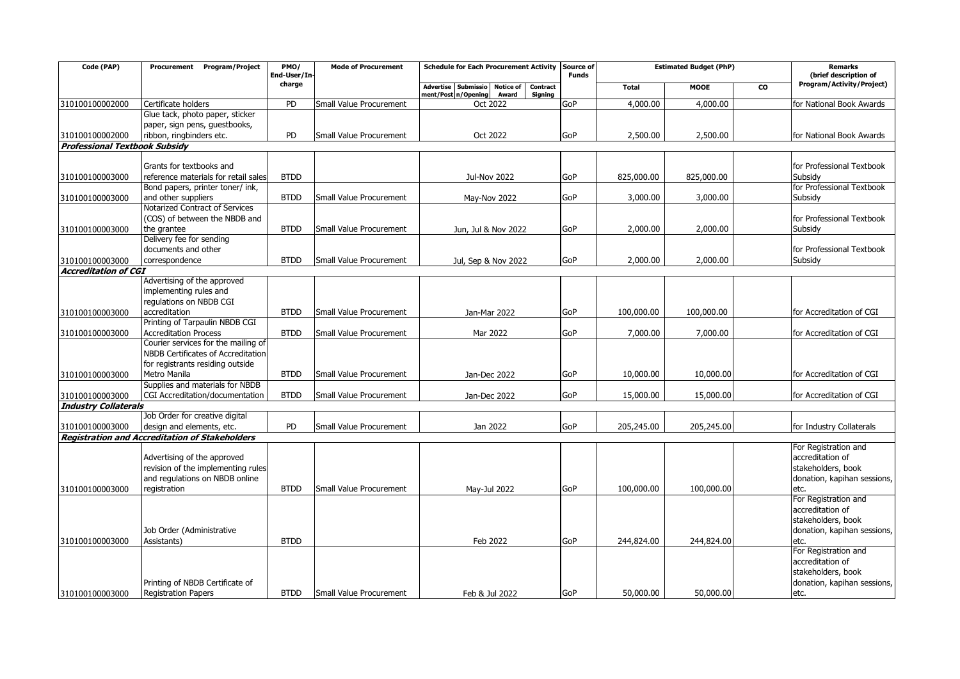| Code (PAP)                           | Procurement Program/Project                                               | PMO/<br>End-User/In- | <b>Mode of Procurement</b>     | Schedule for Each Procurement Activity Source of    | <b>Funds</b> | <b>Estimated Budget (PhP)</b> |             | <b>Remarks</b><br>(brief description of |                                                   |
|--------------------------------------|---------------------------------------------------------------------------|----------------------|--------------------------------|-----------------------------------------------------|--------------|-------------------------------|-------------|-----------------------------------------|---------------------------------------------------|
|                                      |                                                                           | charge               |                                | Advertise Submissio<br><b>Notice of</b><br>Contract |              | <b>Total</b>                  | <b>MOOE</b> | <b>CO</b>                               | Program/Activity/Project)                         |
| 310100100002000                      | Certificate holders                                                       | PD                   | Small Value Procurement        | ment/Post n/Opening<br>Signing<br>Award<br>Oct 2022 | GoP          | 4,000.00                      | 4,000.00    |                                         | for National Book Awards                          |
|                                      | Glue tack, photo paper, sticker                                           |                      |                                |                                                     |              |                               |             |                                         |                                                   |
|                                      | paper, sign pens, guestbooks,                                             |                      |                                |                                                     |              |                               |             |                                         |                                                   |
| 310100100002000                      | ribbon, ringbinders etc.                                                  | PD                   | Small Value Procurement        | Oct 2022                                            | <b>GoP</b>   | 2,500.00                      | 2,500.00    |                                         | for National Book Awards                          |
| <b>Professional Textbook Subsidy</b> |                                                                           |                      |                                |                                                     |              |                               |             |                                         |                                                   |
|                                      |                                                                           |                      |                                |                                                     |              |                               |             |                                         |                                                   |
|                                      | Grants for textbooks and                                                  |                      |                                |                                                     |              |                               |             |                                         | for Professional Textbook                         |
| 310100100003000                      | reference materials for retail sales                                      | <b>BTDD</b>          |                                | <b>Jul-Nov 2022</b>                                 | GoP          | 825,000.00                    | 825,000.00  |                                         | Subsidy                                           |
|                                      | Bond papers, printer toner/ ink,                                          | <b>BTDD</b>          |                                |                                                     |              |                               |             |                                         | for Professional Textbook                         |
| 310100100003000                      | and other suppliers<br>Notarized Contract of Services                     |                      | Small Value Procurement        | May-Nov 2022                                        | <b>GoP</b>   | 3,000.00                      | 3,000.00    |                                         | Subsidy                                           |
|                                      | (COS) of between the NBDB and                                             |                      |                                |                                                     |              |                               |             |                                         | for Professional Textbook                         |
| 310100100003000                      | the grantee                                                               | <b>BTDD</b>          | Small Value Procurement        | Jun, Jul & Nov 2022                                 | <b>GoP</b>   | 2,000.00                      | 2,000.00    |                                         | Subsidy                                           |
|                                      | Delivery fee for sending                                                  |                      |                                |                                                     |              |                               |             |                                         |                                                   |
|                                      | documents and other                                                       |                      |                                |                                                     |              |                               |             |                                         | for Professional Textbook                         |
| 310100100003000                      | correspondence                                                            | <b>BTDD</b>          | <b>Small Value Procurement</b> | Jul, Sep & Nov 2022                                 | <b>GoP</b>   | 2,000.00                      | 2,000.00    |                                         | Subsidy                                           |
| <b>Accreditation of CGI</b>          |                                                                           |                      |                                |                                                     |              |                               |             |                                         |                                                   |
|                                      | Advertising of the approved                                               |                      |                                |                                                     |              |                               |             |                                         |                                                   |
|                                      | implementing rules and                                                    |                      |                                |                                                     |              |                               |             |                                         |                                                   |
|                                      | regulations on NBDB CGI                                                   |                      |                                |                                                     |              |                               |             |                                         |                                                   |
| 310100100003000                      | accreditation                                                             | <b>BTDD</b>          | Small Value Procurement        | Jan-Mar 2022                                        | <b>GoP</b>   | 100,000.00                    | 100,000.00  |                                         | for Accreditation of CGI                          |
|                                      | Printing of Tarpaulin NBDB CGI                                            |                      |                                |                                                     |              |                               |             |                                         |                                                   |
| 310100100003000                      | <b>Accreditation Process</b>                                              | <b>BTDD</b>          | Small Value Procurement        | Mar 2022                                            | <b>GoP</b>   | 7,000.00                      | 7,000.00    |                                         | for Accreditation of CGI                          |
|                                      | Courier services for the mailing of<br>NBDB Certificates of Accreditation |                      |                                |                                                     |              |                               |             |                                         |                                                   |
|                                      | for registrants residing outside                                          |                      |                                |                                                     |              |                               |             |                                         |                                                   |
| 310100100003000                      | Metro Manila                                                              | <b>BTDD</b>          | Small Value Procurement        | Jan-Dec 2022                                        | <b>GoP</b>   | 10,000.00                     | 10,000.00   |                                         | for Accreditation of CGI                          |
|                                      | Supplies and materials for NBDB                                           |                      |                                |                                                     |              |                               |             |                                         |                                                   |
| 310100100003000                      | CGI Accreditation/documentation                                           | <b>BTDD</b>          | Small Value Procurement        | Jan-Dec 2022                                        | <b>GoP</b>   | 15,000.00                     | 15,000.00   |                                         | for Accreditation of CGI                          |
| <b>Industry Collaterals</b>          |                                                                           |                      |                                |                                                     |              |                               |             |                                         |                                                   |
|                                      | Job Order for creative digital                                            |                      |                                |                                                     |              |                               |             |                                         |                                                   |
| 310100100003000                      | design and elements, etc.                                                 | PD                   | Small Value Procurement        | Jan 2022                                            | <b>GoP</b>   | 205,245.00                    | 205,245.00  |                                         | for Industry Collaterals                          |
|                                      | <b>Registration and Accreditation of Stakeholders</b>                     |                      |                                |                                                     |              |                               |             |                                         |                                                   |
|                                      |                                                                           |                      |                                |                                                     |              |                               |             |                                         | For Registration and                              |
|                                      | Advertising of the approved                                               |                      |                                |                                                     |              |                               |             |                                         | accreditation of                                  |
|                                      | revision of the implementing rules                                        |                      |                                |                                                     |              |                               |             |                                         | stakeholders, book                                |
|                                      | and regulations on NBDB online                                            |                      |                                |                                                     |              |                               |             |                                         | donation, kapihan sessions,                       |
| 310100100003000                      | registration                                                              | <b>BTDD</b>          | Small Value Procurement        | May-Jul 2022                                        | <b>GoP</b>   | 100,000.00                    | 100,000.00  |                                         | etc.                                              |
|                                      |                                                                           |                      |                                |                                                     |              |                               |             |                                         | For Registration and                              |
|                                      |                                                                           |                      |                                |                                                     |              |                               |             |                                         | accreditation of                                  |
|                                      | Job Order (Administrative                                                 |                      |                                |                                                     |              |                               |             |                                         | stakeholders, book<br>donation, kapihan sessions, |
|                                      | Assistants)                                                               | <b>BTDD</b>          |                                | Feb 2022                                            | <b>GoP</b>   | 244,824.00                    | 244,824.00  |                                         |                                                   |
| 310100100003000                      |                                                                           |                      |                                |                                                     |              |                               |             |                                         | etc.<br>For Registration and                      |
|                                      |                                                                           |                      |                                |                                                     |              |                               |             |                                         | accreditation of                                  |
|                                      |                                                                           |                      |                                |                                                     |              |                               |             |                                         | stakeholders, book                                |
|                                      | Printing of NBDB Certificate of                                           |                      |                                |                                                     |              |                               |             |                                         | donation, kapihan sessions,                       |
| 310100100003000                      | <b>Registration Papers</b>                                                | <b>BTDD</b>          | <b>Small Value Procurement</b> | Feb & Jul 2022                                      | <b>GoP</b>   | 50,000.00                     | 50,000.00   |                                         | etc.                                              |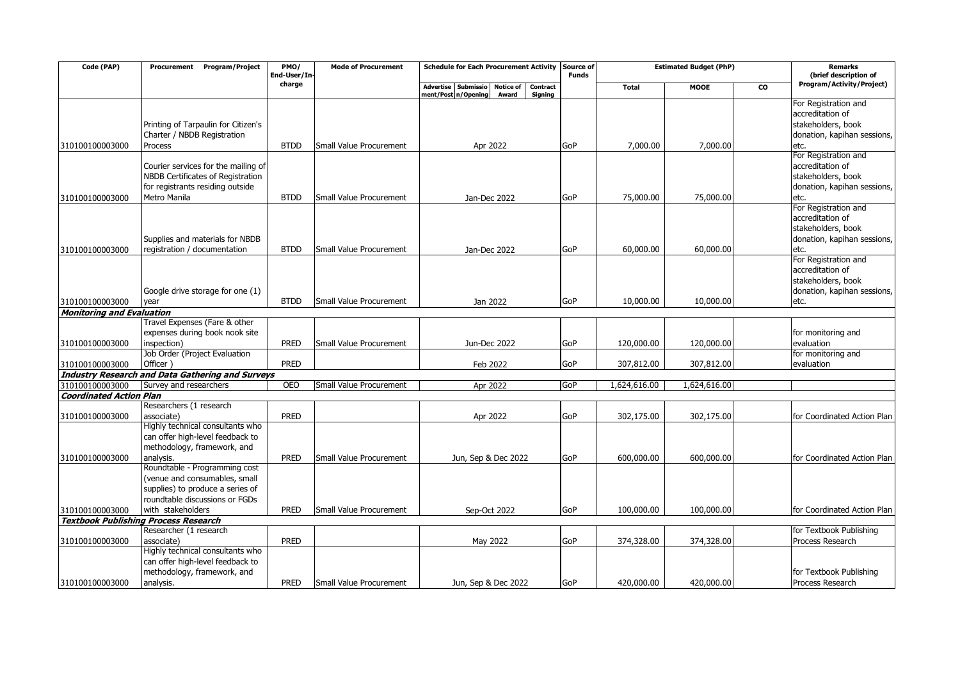| Code (PAP)                       | <b>Program/Project</b><br>Procurement                                | PMO/<br>End-User/In- | <b>Mode of Procurement</b> | <b>Schedule for Each Procurement Activity</b>       | Source of<br><b>Funds</b> | <b>Estimated Budget (PhP)</b> |              | <b>Remarks</b><br>(brief description of |                                          |
|----------------------------------|----------------------------------------------------------------------|----------------------|----------------------------|-----------------------------------------------------|---------------------------|-------------------------------|--------------|-----------------------------------------|------------------------------------------|
|                                  |                                                                      | charge               |                            | Advertise Submissio<br><b>Notice of</b><br>Contract |                           | <b>Total</b>                  | <b>MOOE</b>  | CO                                      | Program/Activity/Project)                |
|                                  |                                                                      |                      |                            | ment/Post n/Opening<br>Award<br>Signing             |                           |                               |              |                                         |                                          |
|                                  |                                                                      |                      |                            |                                                     |                           |                               |              |                                         | For Registration and<br>accreditation of |
|                                  |                                                                      |                      |                            |                                                     |                           |                               |              |                                         | stakeholders, book                       |
|                                  | Printing of Tarpaulin for Citizen's                                  |                      |                            |                                                     |                           |                               |              |                                         |                                          |
|                                  | Charter / NBDB Registration                                          | <b>BTDD</b>          | Small Value Procurement    |                                                     | GoP                       |                               |              |                                         | donation, kapihan sessions,              |
| 310100100003000                  | Process                                                              |                      |                            | Apr 2022                                            |                           | 7,000.00                      | 7,000.00     |                                         | etc.<br>For Registration and             |
|                                  | Courier services for the mailing of                                  |                      |                            |                                                     |                           |                               |              |                                         | accreditation of                         |
|                                  | NBDB Certificates of Registration                                    |                      |                            |                                                     |                           |                               |              |                                         | stakeholders, book                       |
|                                  | for registrants residing outside                                     |                      |                            |                                                     |                           |                               |              |                                         | donation, kapihan sessions,              |
| 310100100003000                  | Metro Manila                                                         | <b>BTDD</b>          | Small Value Procurement    | Jan-Dec 2022                                        | GoP                       | 75,000.00                     | 75,000.00    |                                         | etc.                                     |
|                                  |                                                                      |                      |                            |                                                     |                           |                               |              |                                         | For Registration and                     |
|                                  |                                                                      |                      |                            |                                                     |                           |                               |              |                                         | accreditation of                         |
|                                  |                                                                      |                      |                            |                                                     |                           |                               |              |                                         | stakeholders, book                       |
|                                  | Supplies and materials for NBDB                                      |                      |                            |                                                     |                           |                               |              |                                         | donation, kapihan sessions,              |
| 310100100003000                  | registration / documentation                                         | <b>BTDD</b>          | Small Value Procurement    | Jan-Dec 2022                                        | GoP                       | 60,000.00                     | 60,000.00    |                                         | etc.                                     |
|                                  |                                                                      |                      |                            |                                                     |                           |                               |              |                                         | For Registration and                     |
|                                  |                                                                      |                      |                            |                                                     |                           |                               |              |                                         | accreditation of                         |
|                                  |                                                                      |                      |                            |                                                     |                           |                               |              |                                         | stakeholders, book                       |
|                                  | Google drive storage for one (1)                                     |                      |                            |                                                     |                           |                               |              |                                         | donation, kapihan sessions,              |
| 310100100003000                  | year                                                                 | <b>BTDD</b>          | Small Value Procurement    | Jan 2022                                            | GoP                       | 10,000.00                     | 10,000.00    |                                         | etc.                                     |
| <b>Monitoring and Evaluation</b> |                                                                      |                      |                            |                                                     |                           |                               |              |                                         |                                          |
|                                  | Travel Expenses (Fare & other                                        |                      |                            |                                                     |                           |                               |              |                                         |                                          |
|                                  | expenses during book nook site                                       |                      |                            |                                                     |                           |                               |              |                                         | for monitoring and                       |
| 310100100003000                  | inspection)                                                          | PRED                 | Small Value Procurement    | Jun-Dec 2022                                        | GoP                       | 120,000.00                    | 120,000.00   |                                         | evaluation                               |
|                                  | Job Order (Project Evaluation                                        |                      |                            |                                                     |                           |                               |              |                                         | for monitoring and                       |
| 310100100003000                  | Officer )                                                            | PRED                 |                            | Feb 2022                                            | GoP                       | 307,812.00                    | 307,812.00   |                                         | evaluation                               |
|                                  | <b>Industry Research and Data Gathering and Surveys</b>              |                      |                            |                                                     |                           |                               |              |                                         |                                          |
| 310100100003000                  | Survey and researchers                                               | <b>OEO</b>           | Small Value Procurement    | Apr 2022                                            | GoP                       | 1,624,616.00                  | 1,624,616.00 |                                         |                                          |
| <b>Coordinated Action Plan</b>   |                                                                      |                      |                            |                                                     |                           |                               |              |                                         |                                          |
|                                  | Researchers (1 research                                              |                      |                            |                                                     |                           |                               |              |                                         |                                          |
| 310100100003000                  | associate)                                                           | <b>PRED</b>          |                            | Apr 2022                                            | GoP                       | 302,175.00                    | 302,175.00   |                                         | for Coordinated Action Plan              |
|                                  | Highly technical consultants who                                     |                      |                            |                                                     |                           |                               |              |                                         |                                          |
|                                  | can offer high-level feedback to                                     |                      |                            |                                                     |                           |                               |              |                                         |                                          |
|                                  | methodology, framework, and                                          |                      |                            |                                                     |                           |                               |              |                                         |                                          |
| 310100100003000                  | analysis.                                                            | PRED                 | Small Value Procurement    | Jun, Sep & Dec 2022                                 | GoP                       | 600,000.00                    | 600,000.00   |                                         | for Coordinated Action Plan              |
|                                  | Roundtable - Programming cost                                        |                      |                            |                                                     |                           |                               |              |                                         |                                          |
|                                  | (venue and consumables, small                                        |                      |                            |                                                     |                           |                               |              |                                         |                                          |
|                                  | supplies) to produce a series of                                     |                      |                            |                                                     |                           |                               |              |                                         |                                          |
|                                  | roundtable discussions or FGDs                                       |                      |                            |                                                     |                           |                               |              |                                         |                                          |
| 310100100003000                  | with stakeholders                                                    | <b>PRED</b>          | Small Value Procurement    | Sep-Oct 2022                                        | GoP                       | 100,000.00                    | 100,000.00   |                                         | for Coordinated Action Plan              |
|                                  | <b>Textbook Publishing Process Research</b>                          |                      |                            |                                                     |                           |                               |              |                                         |                                          |
|                                  | Researcher (1 research                                               |                      |                            |                                                     |                           |                               |              |                                         | for Textbook Publishing                  |
| 310100100003000                  | associate)                                                           | PRED                 |                            | May 2022                                            | GoP                       | 374,328.00                    | 374,328.00   |                                         | Process Research                         |
|                                  | Highly technical consultants who<br>can offer high-level feedback to |                      |                            |                                                     |                           |                               |              |                                         |                                          |
|                                  | methodology, framework, and                                          |                      |                            |                                                     |                           |                               |              |                                         | for Textbook Publishing                  |
| 310100100003000                  | analysis.                                                            | <b>PRED</b>          | Small Value Procurement    | Jun, Sep & Dec 2022                                 | GoP                       | 420,000.00                    | 420,000.00   |                                         | Process Research                         |
|                                  |                                                                      |                      |                            |                                                     |                           |                               |              |                                         |                                          |